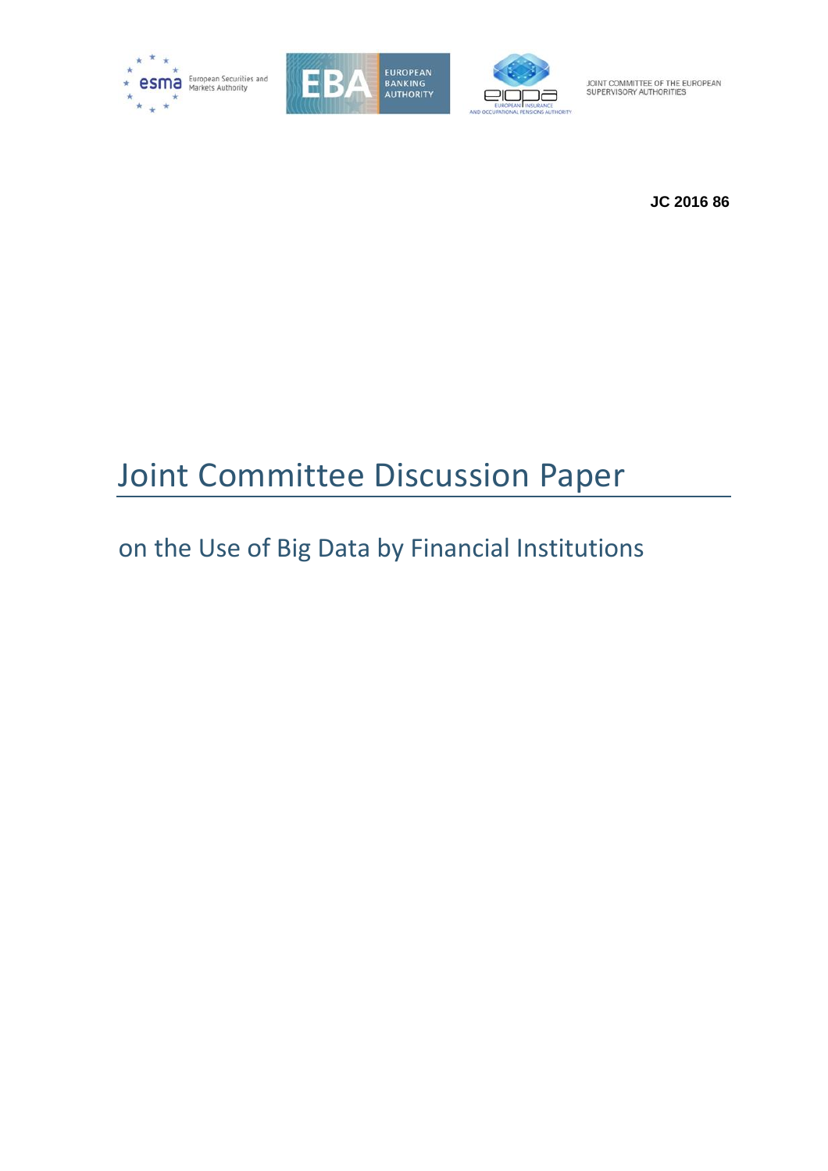





**JC 2016 86**

# Joint Committee Discussion Paper

on the Use of Big Data by Financial Institutions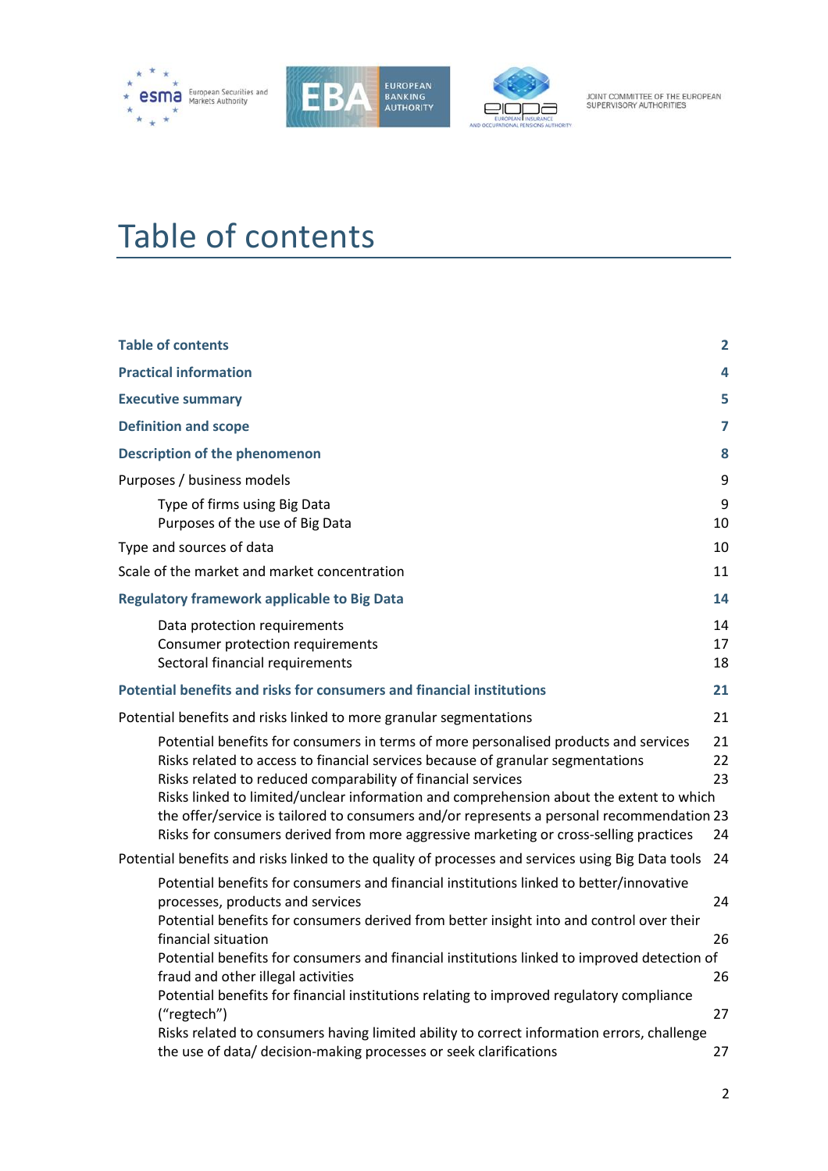





# <span id="page-1-0"></span>Table of contents

| <b>Table of contents</b>                                                                                                                                                                                                                                                                                                                                                                                                                                                                                                 | 2                    |
|--------------------------------------------------------------------------------------------------------------------------------------------------------------------------------------------------------------------------------------------------------------------------------------------------------------------------------------------------------------------------------------------------------------------------------------------------------------------------------------------------------------------------|----------------------|
| <b>Practical information</b>                                                                                                                                                                                                                                                                                                                                                                                                                                                                                             | 4                    |
| <b>Executive summary</b>                                                                                                                                                                                                                                                                                                                                                                                                                                                                                                 | 5                    |
| <b>Definition and scope</b>                                                                                                                                                                                                                                                                                                                                                                                                                                                                                              | 7                    |
| <b>Description of the phenomenon</b>                                                                                                                                                                                                                                                                                                                                                                                                                                                                                     | 8                    |
| Purposes / business models                                                                                                                                                                                                                                                                                                                                                                                                                                                                                               | 9                    |
| Type of firms using Big Data<br>Purposes of the use of Big Data                                                                                                                                                                                                                                                                                                                                                                                                                                                          | 9<br>10              |
| Type and sources of data                                                                                                                                                                                                                                                                                                                                                                                                                                                                                                 | 10                   |
| Scale of the market and market concentration                                                                                                                                                                                                                                                                                                                                                                                                                                                                             | 11                   |
| <b>Regulatory framework applicable to Big Data</b>                                                                                                                                                                                                                                                                                                                                                                                                                                                                       | 14                   |
| Data protection requirements<br>Consumer protection requirements<br>Sectoral financial requirements                                                                                                                                                                                                                                                                                                                                                                                                                      | 14<br>17<br>18       |
| Potential benefits and risks for consumers and financial institutions                                                                                                                                                                                                                                                                                                                                                                                                                                                    | 21                   |
| Potential benefits and risks linked to more granular segmentations                                                                                                                                                                                                                                                                                                                                                                                                                                                       | 21                   |
| Potential benefits for consumers in terms of more personalised products and services<br>Risks related to access to financial services because of granular segmentations<br>Risks related to reduced comparability of financial services<br>Risks linked to limited/unclear information and comprehension about the extent to which<br>the offer/service is tailored to consumers and/or represents a personal recommendation 23<br>Risks for consumers derived from more aggressive marketing or cross-selling practices | 21<br>22<br>23<br>24 |
| Potential benefits and risks linked to the quality of processes and services using Big Data tools                                                                                                                                                                                                                                                                                                                                                                                                                        | 24                   |
| Potential benefits for consumers and financial institutions linked to better/innovative<br>processes, products and services<br>Potential benefits for consumers derived from better insight into and control over their<br>financial situation                                                                                                                                                                                                                                                                           | 24<br>26             |
| Potential benefits for consumers and financial institutions linked to improved detection of<br>fraud and other illegal activities<br>Potential benefits for financial institutions relating to improved regulatory compliance                                                                                                                                                                                                                                                                                            | 26                   |
| ("regtech")<br>Risks related to consumers having limited ability to correct information errors, challenge<br>the use of data/ decision-making processes or seek clarifications                                                                                                                                                                                                                                                                                                                                           | 27<br>27             |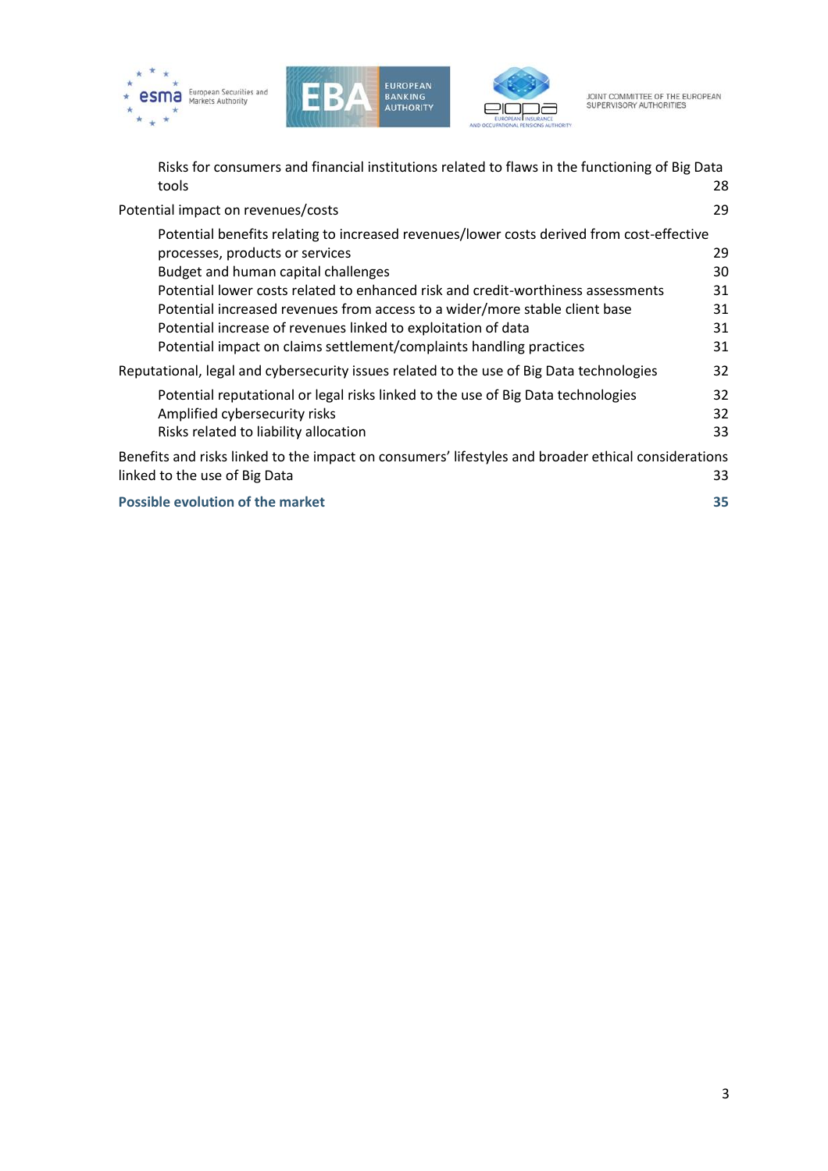





[Risks for consumers and financial institutions related to flaws in the functioning of Big Data](#page-27-0)  [tools](#page-27-0) 28

| Potential impact on revenues/costs                                                                                                                                                                                                                                                                                                                                                                                                                                             | 29                               |
|--------------------------------------------------------------------------------------------------------------------------------------------------------------------------------------------------------------------------------------------------------------------------------------------------------------------------------------------------------------------------------------------------------------------------------------------------------------------------------|----------------------------------|
| Potential benefits relating to increased revenues/lower costs derived from cost-effective<br>processes, products or services<br>Budget and human capital challenges<br>Potential lower costs related to enhanced risk and credit-worthiness assessments<br>Potential increased revenues from access to a wider/more stable client base<br>Potential increase of revenues linked to exploitation of data<br>Potential impact on claims settlement/complaints handling practices | 29<br>30<br>31<br>31<br>31<br>31 |
| Reputational, legal and cybersecurity issues related to the use of Big Data technologies                                                                                                                                                                                                                                                                                                                                                                                       | 32                               |
| Potential reputational or legal risks linked to the use of Big Data technologies<br>Amplified cybersecurity risks<br>Risks related to liability allocation                                                                                                                                                                                                                                                                                                                     | 32<br>32<br>33                   |
| Benefits and risks linked to the impact on consumers' lifestyles and broader ethical considerations<br>linked to the use of Big Data                                                                                                                                                                                                                                                                                                                                           | 33                               |
| <b>Possible evolution of the market</b>                                                                                                                                                                                                                                                                                                                                                                                                                                        | 35                               |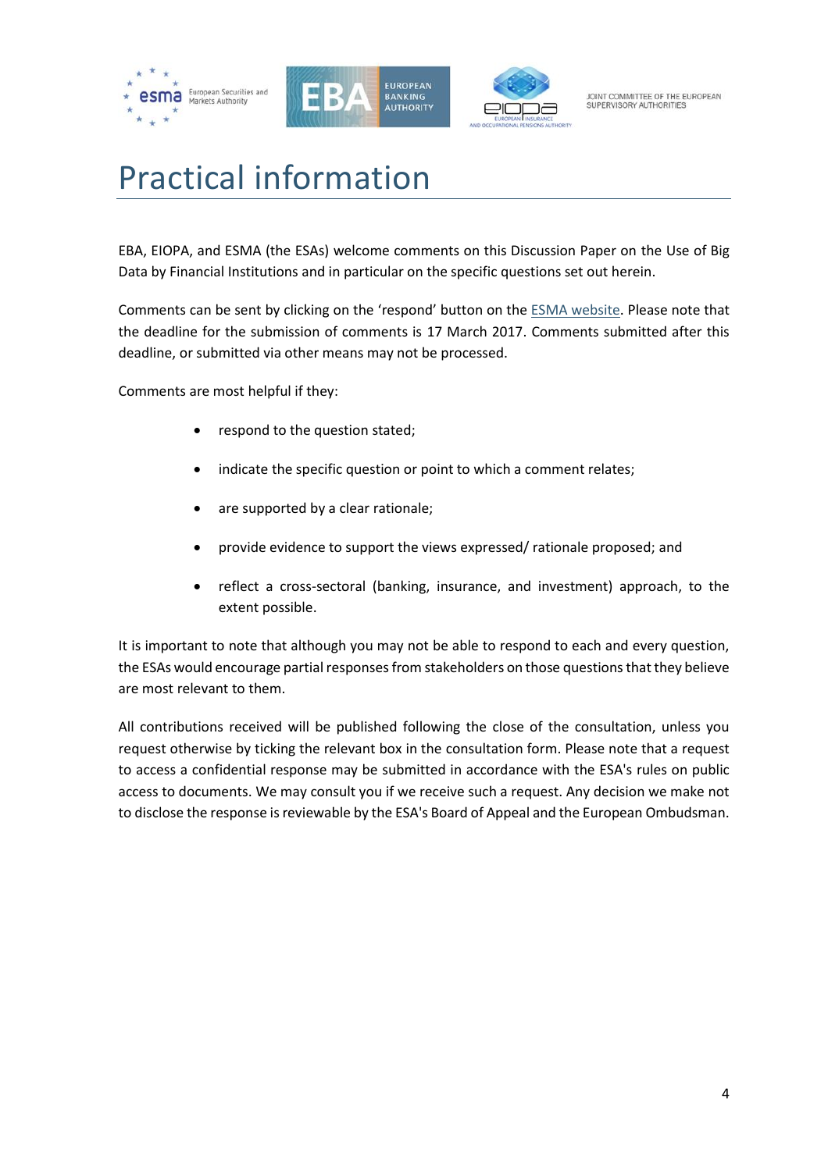





# <span id="page-3-0"></span>Practical information

EBA, EIOPA, and ESMA (the ESAs) welcome comments on this Discussion Paper on the Use of Big Data by Financial Institutions and in particular on the specific questions set out herein.

Comments can be sent by clicking on the 'respond' button on th[e ESMA website.](https://www.esma.europa.eu/press-news/consultations/joint-committee-discussion-paper-use-big-data-financial-institutions) Please note that the deadline for the submission of comments is 17 March 2017. Comments submitted after this deadline, or submitted via other means may not be processed.

Comments are most helpful if they:

- respond to the question stated;
- indicate the specific question or point to which a comment relates;
- are supported by a clear rationale;
- provide evidence to support the views expressed/ rationale proposed; and
- reflect a cross-sectoral (banking, insurance, and investment) approach, to the extent possible.

It is important to note that although you may not be able to respond to each and every question, the ESAs would encourage partial responses from stakeholders on those questions that they believe are most relevant to them.

All contributions received will be published following the close of the consultation, unless you request otherwise by ticking the relevant box in the consultation form. Please note that a request to access a confidential response may be submitted in accordance with the ESA's rules on public access to documents. We may consult you if we receive such a request. Any decision we make not to disclose the response is reviewable by the ESA's Board of Appeal and the European Ombudsman.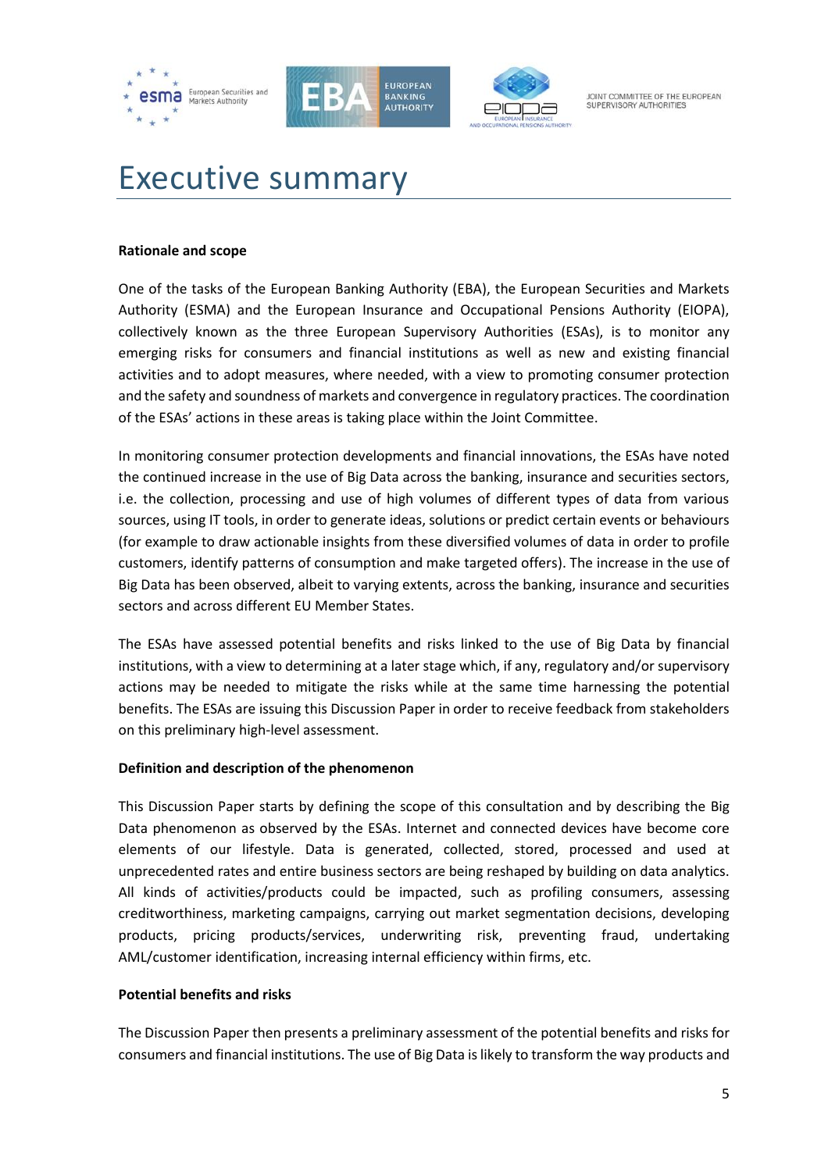





# <span id="page-4-0"></span>Executive summary

#### **Rationale and scope**

One of the tasks of the European Banking Authority (EBA), the European Securities and Markets Authority (ESMA) and the European Insurance and Occupational Pensions Authority (EIOPA), collectively known as the three European Supervisory Authorities (ESAs), is to monitor any emerging risks for consumers and financial institutions as well as new and existing financial activities and to adopt measures, where needed, with a view to promoting consumer protection and the safety and soundness of markets and convergence in regulatory practices. The coordination of the ESAs' actions in these areas is taking place within the Joint Committee.

In monitoring consumer protection developments and financial innovations, the ESAs have noted the continued increase in the use of Big Data across the banking, insurance and securities sectors, i.e. the collection, processing and use of high volumes of different types of data from various sources, using IT tools, in order to generate ideas, solutions or predict certain events or behaviours (for example to draw actionable insights from these diversified volumes of data in order to profile customers, identify patterns of consumption and make targeted offers). The increase in the use of Big Data has been observed, albeit to varying extents, across the banking, insurance and securities sectors and across different EU Member States.

The ESAs have assessed potential benefits and risks linked to the use of Big Data by financial institutions, with a view to determining at a later stage which, if any, regulatory and/or supervisory actions may be needed to mitigate the risks while at the same time harnessing the potential benefits. The ESAs are issuing this Discussion Paper in order to receive feedback from stakeholders on this preliminary high-level assessment.

#### **Definition and description of the phenomenon**

This Discussion Paper starts by defining the scope of this consultation and by describing the Big Data phenomenon as observed by the ESAs. Internet and connected devices have become core elements of our lifestyle. Data is generated, collected, stored, processed and used at unprecedented rates and entire business sectors are being reshaped by building on data analytics. All kinds of activities/products could be impacted, such as profiling consumers, assessing creditworthiness, marketing campaigns, carrying out market segmentation decisions, developing products, pricing products/services, underwriting risk, preventing fraud, undertaking AML/customer identification, increasing internal efficiency within firms, etc.

#### **Potential benefits and risks**

The Discussion Paper then presents a preliminary assessment of the potential benefits and risks for consumers and financial institutions. The use of Big Data is likely to transform the way products and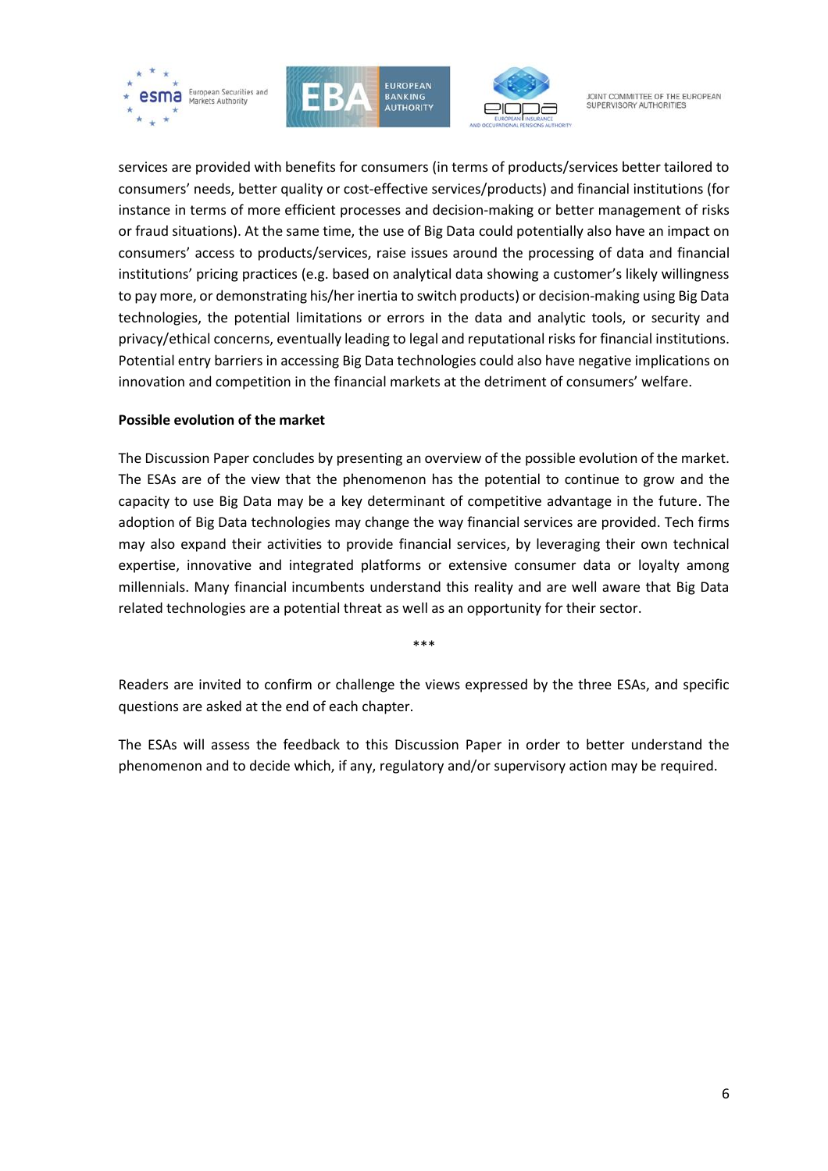





services are provided with benefits for consumers (in terms of products/services better tailored to consumers' needs, better quality or cost-effective services/products) and financial institutions (for instance in terms of more efficient processes and decision-making or better management of risks or fraud situations). At the same time, the use of Big Data could potentially also have an impact on consumers' access to products/services, raise issues around the processing of data and financial institutions' pricing practices (e.g. based on analytical data showing a customer's likely willingness to pay more, or demonstrating his/her inertia to switch products) or decision-making using Big Data technologies, the potential limitations or errors in the data and analytic tools, or security and privacy/ethical concerns, eventually leading to legal and reputational risks for financial institutions. Potential entry barriers in accessing Big Data technologies could also have negative implications on innovation and competition in the financial markets at the detriment of consumers' welfare.

#### **Possible evolution of the market**

The Discussion Paper concludes by presenting an overview of the possible evolution of the market. The ESAs are of the view that the phenomenon has the potential to continue to grow and the capacity to use Big Data may be a key determinant of competitive advantage in the future. The adoption of Big Data technologies may change the way financial services are provided. Tech firms may also expand their activities to provide financial services, by leveraging their own technical expertise, innovative and integrated platforms or extensive consumer data or loyalty among millennials. Many financial incumbents understand this reality and are well aware that Big Data related technologies are a potential threat as well as an opportunity for their sector.

\*\*\*

Readers are invited to confirm or challenge the views expressed by the three ESAs, and specific questions are asked at the end of each chapter.

The ESAs will assess the feedback to this Discussion Paper in order to better understand the phenomenon and to decide which, if any, regulatory and/or supervisory action may be required.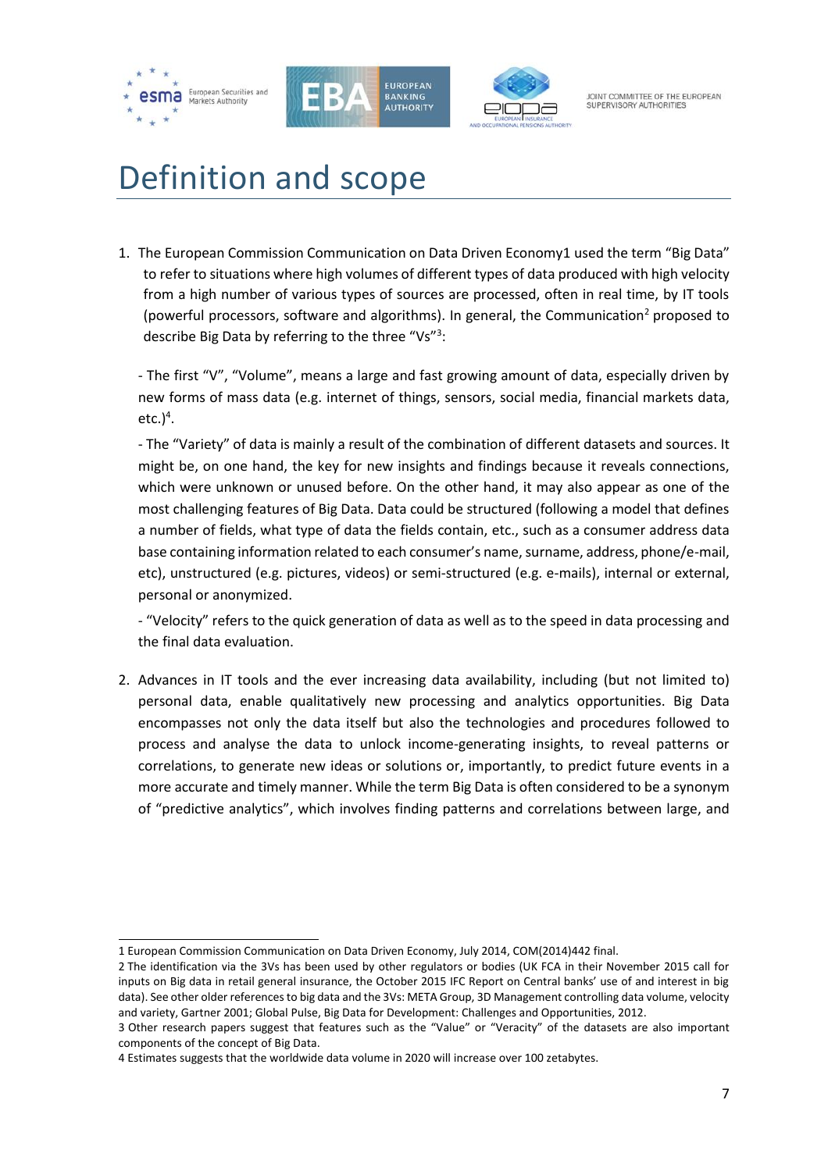





# <span id="page-6-0"></span>Definition and scope

1. The European Commission Communication on Data Driven Economy1 used the term "Big Data" to refer to situations where high volumes of different types of data produced with high velocity from a high number of various types of sources are processed, often in real time, by IT tools (powerful processors, software and algorithms). In general, the Communication<sup>2</sup> proposed to describe Big Data by referring to the three "Vs"<sup>3</sup>:

- The first "V", "Volume", means a large and fast growing amount of data, especially driven by new forms of mass data (e.g. internet of things, sensors, social media, financial markets data, etc.) 4 .

- The "Variety" of data is mainly a result of the combination of different datasets and sources. It might be, on one hand, the key for new insights and findings because it reveals connections, which were unknown or unused before. On the other hand, it may also appear as one of the most challenging features of Big Data. Data could be structured (following a model that defines a number of fields, what type of data the fields contain, etc., such as a consumer address data base containing information related to each consumer's name, surname, address, phone/e-mail, etc), unstructured (e.g. pictures, videos) or semi-structured (e.g. e-mails), internal or external, personal or anonymized.

- "Velocity" refers to the quick generation of data as well as to the speed in data processing and the final data evaluation.

2. Advances in IT tools and the ever increasing data availability, including (but not limited to) personal data, enable qualitatively new processing and analytics opportunities. Big Data encompasses not only the data itself but also the technologies and procedures followed to process and analyse the data to unlock income-generating insights, to reveal patterns or correlations, to generate new ideas or solutions or, importantly, to predict future events in a more accurate and timely manner. While the term Big Data is often considered to be a synonym of "predictive analytics", which involves finding patterns and correlations between large, and

f 1 European Commission Communication on Data Driven Economy, July 2014, COM(2014)442 final.

<sup>2</sup> The identification via the 3Vs has been used by other regulators or bodies (UK FCA in their November 2015 call for inputs on Big data in retail general insurance, the October 2015 IFC Report on Central banks' use of and interest in big data). See other older references to big data and the 3Vs: META Group, 3D Management controlling data volume, velocity and variety, Gartner 2001; Global Pulse, Big Data for Development: Challenges and Opportunities, 2012.

<sup>3</sup> Other research papers suggest that features such as the "Value" or "Veracity" of the datasets are also important components of the concept of Big Data.

<sup>4</sup> Estimates suggests that the worldwide data volume in 2020 will increase over 100 zetabytes.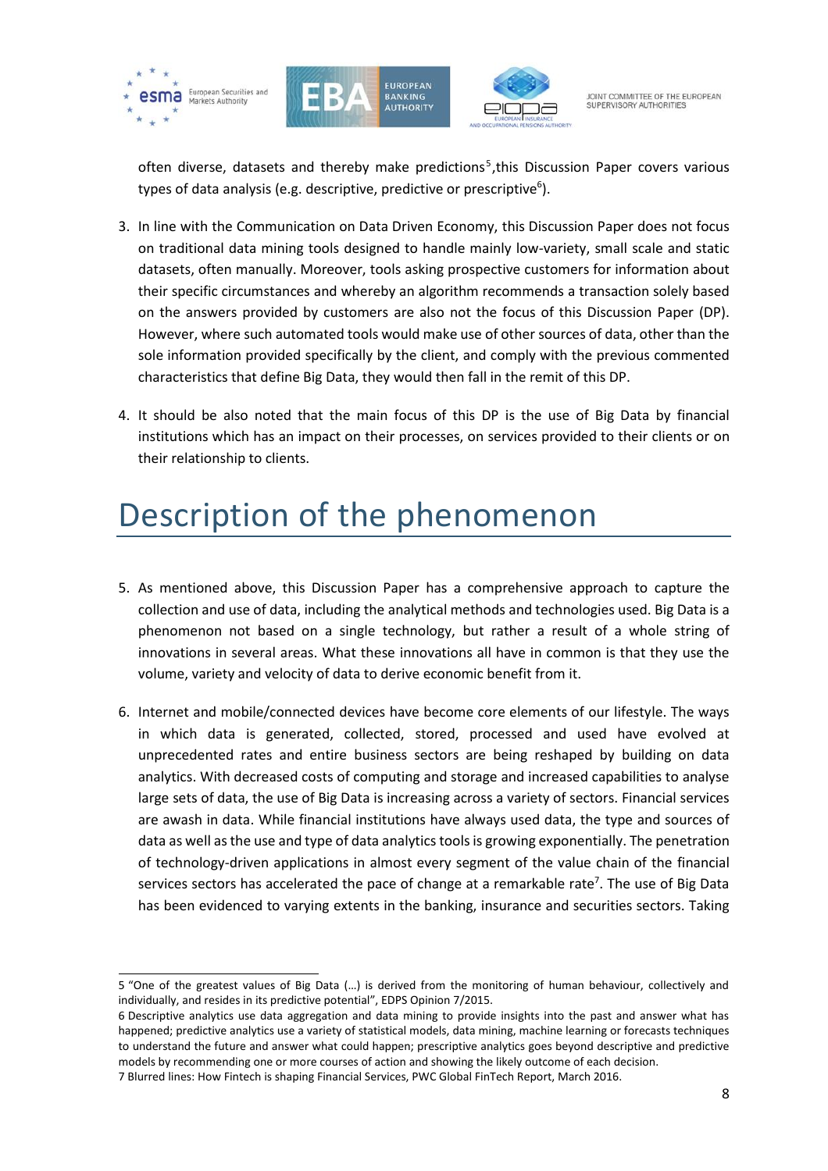





JOINT COMMITTEE OF THE FUROPEAN SUPERVISORY AUTHORITIES

often diverse, datasets and thereby make predictions<sup>5</sup>, this Discussion Paper covers various types of data analysis (e.g. descriptive, predictive or prescriptive<sup>6</sup>).

- 3. In line with the Communication on Data Driven Economy, this Discussion Paper does not focus on traditional data mining tools designed to handle mainly low-variety, small scale and static datasets, often manually. Moreover, tools asking prospective customers for information about their specific circumstances and whereby an algorithm recommends a transaction solely based on the answers provided by customers are also not the focus of this Discussion Paper (DP). However, where such automated tools would make use of other sources of data, other than the sole information provided specifically by the client, and comply with the previous commented characteristics that define Big Data, they would then fall in the remit of this DP.
- 4. It should be also noted that the main focus of this DP is the use of Big Data by financial institutions which has an impact on their processes, on services provided to their clients or on their relationship to clients.

# <span id="page-7-0"></span>Description of the phenomenon

- 5. As mentioned above, this Discussion Paper has a comprehensive approach to capture the collection and use of data, including the analytical methods and technologies used. Big Data is a phenomenon not based on a single technology, but rather a result of a whole string of innovations in several areas. What these innovations all have in common is that they use the volume, variety and velocity of data to derive economic benefit from it.
- 6. Internet and mobile/connected devices have become core elements of our lifestyle. The ways in which data is generated, collected, stored, processed and used have evolved at unprecedented rates and entire business sectors are being reshaped by building on data analytics. With decreased costs of computing and storage and increased capabilities to analyse large sets of data, the use of Big Data is increasing across a variety of sectors. Financial services are awash in data. While financial institutions have always used data, the type and sources of data as well as the use and type of data analytics tools is growing exponentially. The penetration of technology-driven applications in almost every segment of the value chain of the financial services sectors has accelerated the pace of change at a remarkable rate<sup>7</sup>. The use of Big Data has been evidenced to varying extents in the banking, insurance and securities sectors. Taking

<sup>5</sup> "One of the greatest values of Big Data (…) is derived from the monitoring of human behaviour, collectively and individually, and resides in its predictive potential", EDPS Opinion 7/2015.

<sup>6</sup> Descriptive analytics use data aggregation and data mining to provide insights into the past and answer what has happened; predictive analytics use a variety of statistical models, data mining, machine learning or forecasts techniques to understand the future and answer what could happen; prescriptive analytics goes beyond descriptive and predictive models by recommending one or more courses of action and showing the likely outcome of each decision.

<sup>7</sup> Blurred lines: How Fintech is shaping Financial Services, PWC Global FinTech Report, March 2016.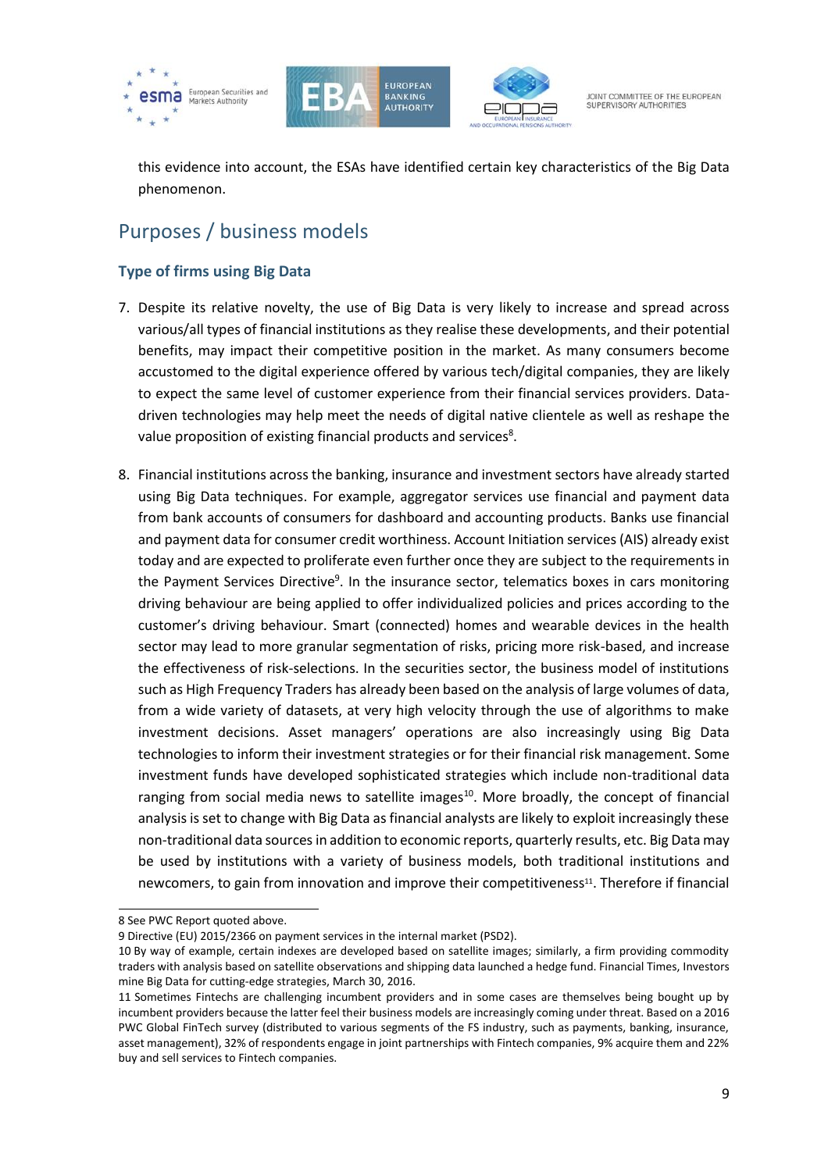





this evidence into account, the ESAs have identified certain key characteristics of the Big Data phenomenon.

# <span id="page-8-0"></span>Purposes / business models

## <span id="page-8-1"></span>**Type of firms using Big Data**

- 7. Despite its relative novelty, the use of Big Data is very likely to increase and spread across various/all types of financial institutions as they realise these developments, and their potential benefits, may impact their competitive position in the market. As many consumers become accustomed to the digital experience offered by various tech/digital companies, they are likely to expect the same level of customer experience from their financial services providers. Datadriven technologies may help meet the needs of digital native clientele as well as reshape the value proposition of existing financial products and services<sup>8</sup>.
- 8. Financial institutions across the banking, insurance and investment sectors have already started using Big Data techniques. For example, aggregator services use financial and payment data from bank accounts of consumers for dashboard and accounting products. Banks use financial and payment data for consumer credit worthiness. Account Initiation services (AIS) already exist today and are expected to proliferate even further once they are subject to the requirements in the Payment Services Directive<sup>9</sup>. In the insurance sector, telematics boxes in cars monitoring driving behaviour are being applied to offer individualized policies and prices according to the customer's driving behaviour. Smart (connected) homes and wearable devices in the health sector may lead to more granular segmentation of risks, pricing more risk-based, and increase the effectiveness of risk-selections. In the securities sector, the business model of institutions such as High Frequency Traders has already been based on the analysis of large volumes of data, from a wide variety of datasets, at very high velocity through the use of algorithms to make investment decisions. Asset managers' operations are also increasingly using Big Data technologies to inform their investment strategies or for their financial risk management. Some investment funds have developed sophisticated strategies which include non-traditional data ranging from social media news to satellite images $^{10}$ . More broadly, the concept of financial analysis is set to change with Big Data as financial analysts are likely to exploit increasingly these non-traditional data sources in addition to economic reports, quarterly results, etc. Big Data may be used by institutions with a variety of business models, both traditional institutions and newcomers, to gain from innovation and improve their competitiveness<sup>11</sup>. Therefore if financial

1

<sup>8</sup> See PWC Report quoted above.

<sup>9</sup> Directive (EU) 2015/2366 on payment services in the internal market (PSD2).

<sup>10</sup> By way of example, certain indexes are developed based on satellite images; similarly, a firm providing commodity traders with analysis based on satellite observations and shipping data launched a hedge fund. Financial Times, Investors mine Big Data for cutting-edge strategies, March 30, 2016.

<sup>11</sup> Sometimes Fintechs are challenging incumbent providers and in some cases are themselves being bought up by incumbent providers because the latter feel their business models are increasingly coming under threat. Based on a 2016 PWC Global FinTech survey (distributed to various segments of the FS industry, such as payments, banking, insurance, asset management), 32% of respondents engage in joint partnerships with Fintech companies, 9% acquire them and 22% buy and sell services to Fintech companies.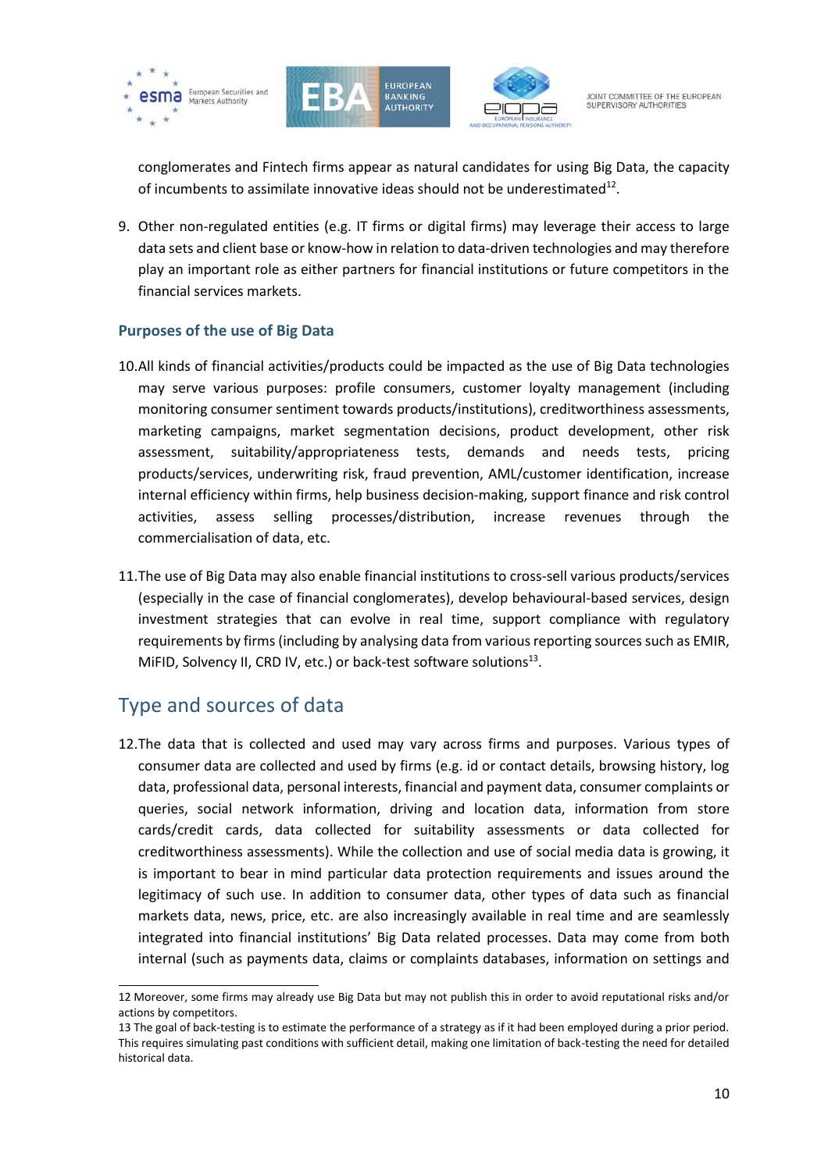





conglomerates and Fintech firms appear as natural candidates for using Big Data, the capacity of incumbents to assimilate innovative ideas should not be underestimated $^{12}$ .

9. Other non-regulated entities (e.g. IT firms or digital firms) may leverage their access to large data sets and client base or know-how in relation to data-driven technologies and may therefore play an important role as either partners for financial institutions or future competitors in the financial services markets.

#### <span id="page-9-0"></span>**Purposes of the use of Big Data**

- 10.All kinds of financial activities/products could be impacted as the use of Big Data technologies may serve various purposes: profile consumers, customer loyalty management (including monitoring consumer sentiment towards products/institutions), creditworthiness assessments, marketing campaigns, market segmentation decisions, product development, other risk assessment, suitability/appropriateness tests, demands and needs tests, pricing products/services, underwriting risk, fraud prevention, AML/customer identification, increase internal efficiency within firms, help business decision-making, support finance and risk control activities, assess selling processes/distribution, increase revenues through the commercialisation of data, etc.
- 11.The use of Big Data may also enable financial institutions to cross-sell various products/services (especially in the case of financial conglomerates), develop behavioural-based services, design investment strategies that can evolve in real time, support compliance with regulatory requirements by firms (including by analysing data from various reporting sources such as EMIR, MiFID, Solvency II, CRD IV, etc.) or back-test software solutions $^{13}$ .

## <span id="page-9-1"></span>Type and sources of data

1

12.The data that is collected and used may vary across firms and purposes. Various types of consumer data are collected and used by firms (e.g. id or contact details, browsing history, log data, professional data, personal interests, financial and payment data, consumer complaints or queries, social network information, driving and location data, information from store cards/credit cards, data collected for suitability assessments or data collected for creditworthiness assessments). While the collection and use of social media data is growing, it is important to bear in mind particular data protection requirements and issues around the legitimacy of such use. In addition to consumer data, other types of data such as financial markets data, news, price, etc. are also increasingly available in real time and are seamlessly integrated into financial institutions' Big Data related processes. Data may come from both internal (such as payments data, claims or complaints databases, information on settings and

<sup>12</sup> Moreover, some firms may already use Big Data but may not publish this in order to avoid reputational risks and/or actions by competitors.

<sup>13</sup> The goal of back-testing is to estimate the performance of a strategy as if it had been employed during a prior period. This requires simulating past conditions with sufficient detail, making one limitation of back-testing the need for detailed historical data.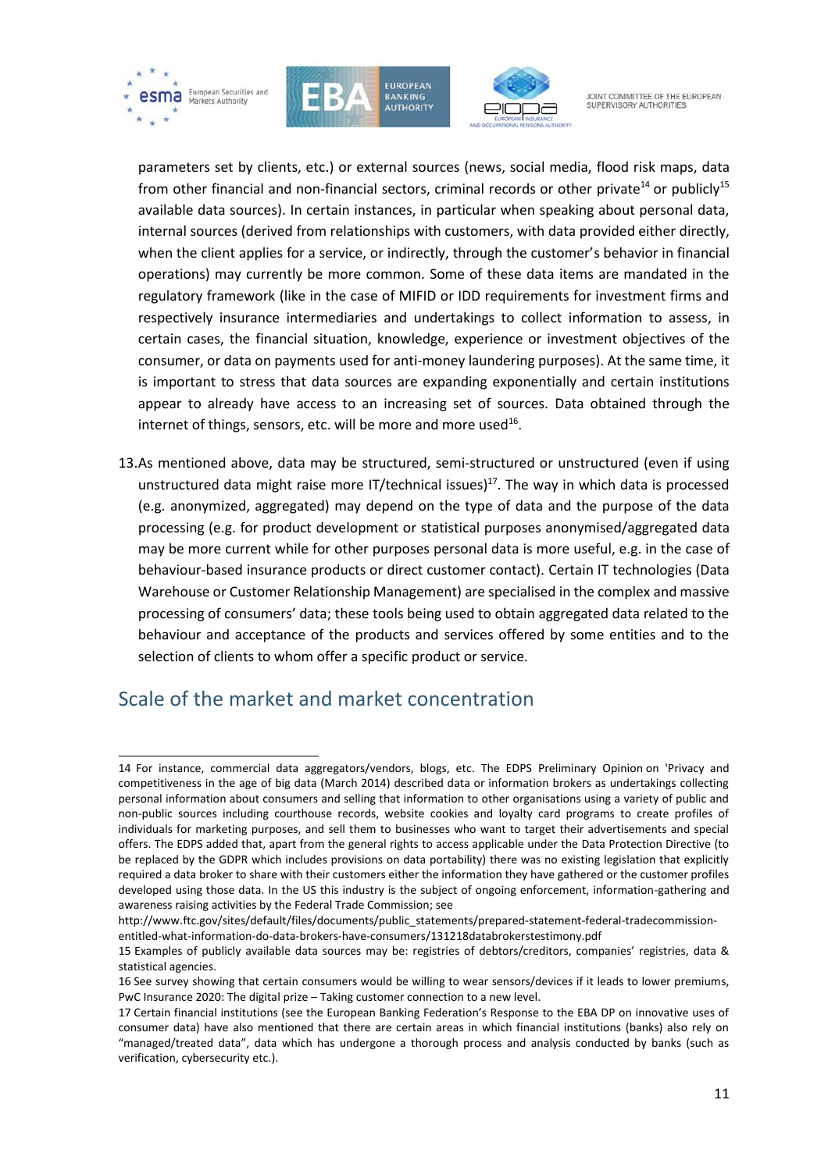





parameters set by clients, etc.) or external sources (news, social media, flood risk maps, data from other financial and non-financial sectors, criminal records or other private<sup>14</sup> or publicly<sup>15</sup> available data sources). In certain instances, in particular when speaking about personal data, internal sources (derived from relationships with customers, with data provided either directly, when the client applies for a service, or indirectly, through the customer's behavior in financial operations) may currently be more common. Some of these data items are mandated in the regulatory framework (like in the case of MIFID or IDD requirements for investment firms and respectively insurance intermediaries and undertakings to collect information to assess, in certain cases, the financial situation, knowledge, experience or investment objectives of the consumer, or data on payments used for anti-money laundering purposes). At the same time, it is important to stress that data sources are expanding exponentially and certain institutions appear to already have access to an increasing set of sources. Data obtained through the internet of things, sensors, etc. will be more and more used<sup>16</sup>.

13.As mentioned above, data may be structured, semi-structured or unstructured (even if using unstructured data might raise more IT/technical issues)<sup>17</sup>. The way in which data is processed (e.g. anonymized, aggregated) may depend on the type of data and the purpose of the data processing (e.g. for product development or statistical purposes anonymised/aggregated data may be more current while for other purposes personal data is more useful, e.g. in the case of behaviour-based insurance products or direct customer contact). Certain IT technologies (Data Warehouse or Customer Relationship Management) are specialised in the complex and massive processing of consumers' data; these tools being used to obtain aggregated data related to the behaviour and acceptance of the products and services offered by some entities and to the selection of clients to whom offer a specific product or service.

## <span id="page-10-0"></span>Scale of the market and market concentration

[http://www.ftc.gov/sites/default/files/documents/public\\_statements/prepared-statement-federal-tradecommission](http://www.ftc.gov/sites/default/files/documents/public_statements/prepared-statement-federal-tradecommission-entitled-what-information-do-data-brokers-have-consumers/131218databrokerstestimony.pdf)[entitled-what-information-do-data-brokers-have-consumers/131218databrokerstestimony.pdf](http://www.ftc.gov/sites/default/files/documents/public_statements/prepared-statement-federal-tradecommission-entitled-what-information-do-data-brokers-have-consumers/131218databrokerstestimony.pdf)

<sup>1</sup> 14 For instance, commercial data aggregators/vendors, blogs, etc. The EDPS [Preliminary Opinion](https://secure.edps.europa.eu/EDPSWEB/webdav/site/mySite/shared/Documents/Consultation/Opinions/2014/14-03-26_competitition_law_big_data_EN.pdf) on 'Privacy and competitiveness in the age of big data (March 2014) described data or information brokers as undertakings collecting personal information about consumers and selling that information to other organisations using a variety of public and non-public sources including courthouse records, website cookies and loyalty card programs to create profiles of individuals for marketing purposes, and sell them to businesses who want to target their advertisements and special offers. The EDPS added that, apart from the general rights to access applicable under the Data Protection Directive (to be replaced by the GDPR which includes provisions on data portability) there was no existing legislation that explicitly required a data broker to share with their customers either the information they have gathered or the customer profiles developed using those data. In the US this industry is the subject of ongoing enforcement, information-gathering and awareness raising activities by the Federal Trade Commission; see

<sup>15</sup> Examples of publicly available data sources may be: registries of debtors/creditors, companies' registries, data & statistical agencies.

<sup>16</sup> See survey showing that certain consumers would be willing to wear sensors/devices if it leads to lower premiums, PwC Insurance 2020: The digital prize – Taking customer connection to a new level.

<sup>17</sup> Certain financial institutions (see the European Banking Federation's Response to the EBA DP on innovative uses of consumer data) have also mentioned that there are certain areas in which financial institutions (banks) also rely on "managed/treated data", data which has undergone a thorough process and analysis conducted by banks (such as verification, cybersecurity etc.).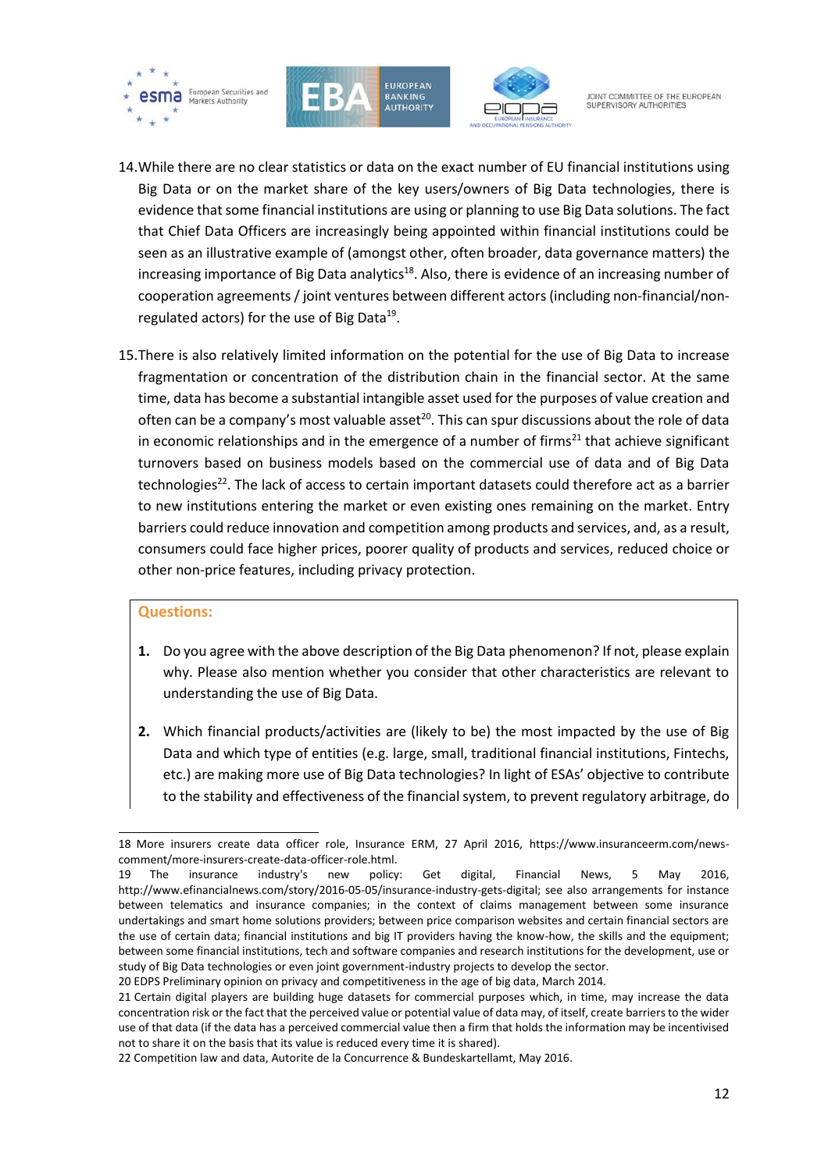





- 14.While there are no clear statistics or data on the exact number of EU financial institutions using Big Data or on the market share of the key users/owners of Big Data technologies, there is evidence that some financial institutions are using or planning to use Big Data solutions. The fact that Chief Data Officers are increasingly being appointed within financial institutions could be seen as an illustrative example of (amongst other, often broader, data governance matters) the increasing importance of Big Data analytics<sup>18</sup>. Also, there is evidence of an increasing number of cooperation agreements / joint ventures between different actors (including non-financial/nonregulated actors) for the use of Big Data<sup>19</sup>.
- 15.There is also relatively limited information on the potential for the use of Big Data to increase fragmentation or concentration of the distribution chain in the financial sector. At the same time, data has become a substantial intangible asset used for the purposes of value creation and often can be a company's most valuable asset<sup>20</sup>. This can spur discussions about the role of data in economic relationships and in the emergence of a number of firms $^{21}$  that achieve significant turnovers based on business models based on the commercial use of data and of Big Data technologies<sup>22</sup>. The lack of access to certain important datasets could therefore act as a barrier to new institutions entering the market or even existing ones remaining on the market. Entry barriers could reduce innovation and competition among products and services, and, as a result, consumers could face higher prices, poorer quality of products and services, reduced choice or other non-price features, including privacy protection.

#### **Questions:**

- **1.** Do you agree with the above description of the Big Data phenomenon? If not, please explain why. Please also mention whether you consider that other characteristics are relevant to understanding the use of Big Data.
- **2.** Which financial products/activities are (likely to be) the most impacted by the use of Big Data and which type of entities (e.g. large, small, traditional financial institutions, Fintechs, etc.) are making more use of Big Data technologies? In light of ESAs' objective to contribute to the stability and effectiveness of the financial system, to prevent regulatory arbitrage, do

f 18 More insurers create data officer role, Insurance ERM, 27 April 2016, [https://www.insuranceerm.com/news](https://www.insuranceerm.com/news-comment/more-insurers-create-data-officer-role.html)[comment/more-insurers-create-data-officer-role.html.](https://www.insuranceerm.com/news-comment/more-insurers-create-data-officer-role.html) 

<sup>19</sup> The insurance industry's new policy: Get digital, Financial News, 5 May 2016, [http://www.efinancialnews.com/story/2016-05-05/insurance-industry-gets-digital;](http://www.efinancialnews.com/story/2016-05-05/insurance-industry-gets-digital) see also arrangements for instance between telematics and insurance companies; in the context of claims management between some insurance undertakings and smart home solutions providers; between price comparison websites and certain financial sectors are the use of certain data; financial institutions and big IT providers having the know-how, the skills and the equipment; between some financial institutions, tech and software companies and research institutions for the development, use or study of Big Data technologies or even joint government-industry projects to develop the sector.

<sup>20</sup> EDPS Preliminary opinion on privacy and competitiveness in the age of big data, March 2014.

<sup>21</sup> Certain digital players are building huge datasets for commercial purposes which, in time, may increase the data concentration risk or the fact that the perceived value or potential value of data may, of itself, create barriers to the wider use of that data (if the data has a perceived commercial value then a firm that holds the information may be incentivised not to share it on the basis that its value is reduced every time it is shared).

<sup>22</sup> Competition law and data, Autorite de la Concurrence & Bundeskartellamt, May 2016.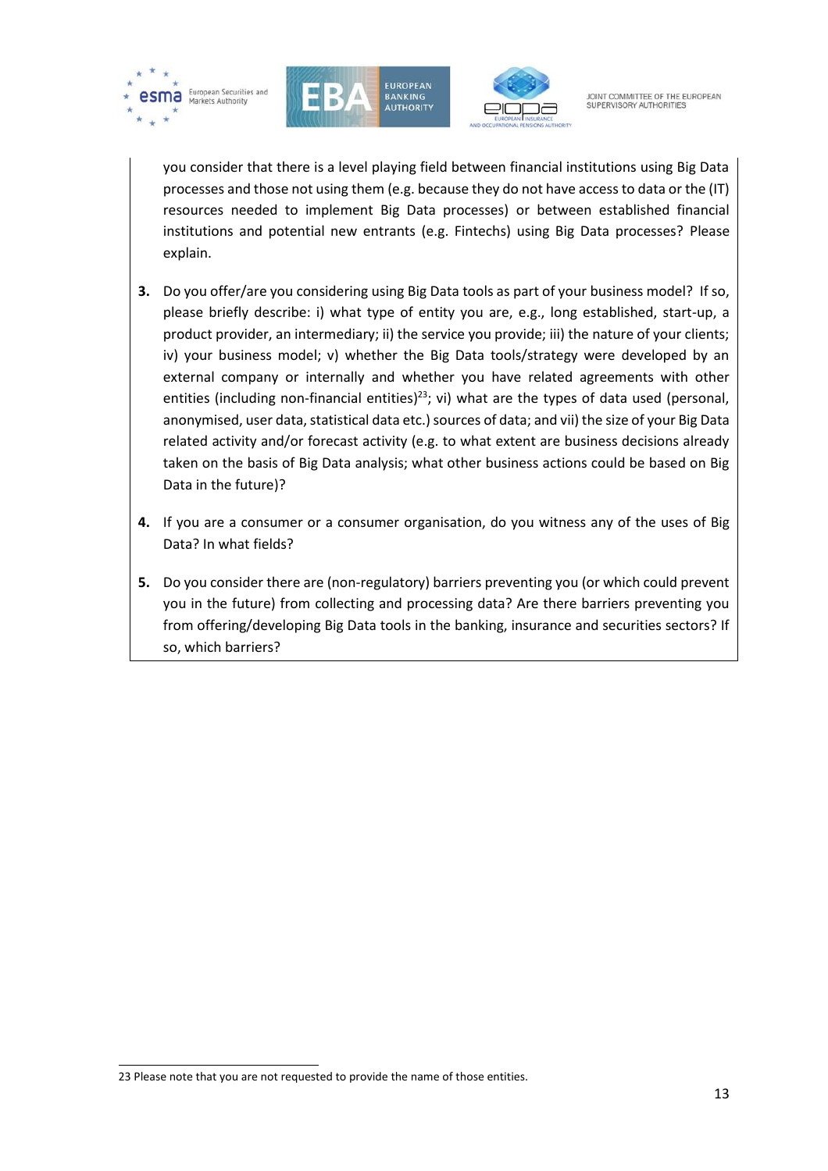





you consider that there is a level playing field between financial institutions using Big Data processes and those not using them (e.g. because they do not have access to data or the (IT) resources needed to implement Big Data processes) or between established financial institutions and potential new entrants (e.g. Fintechs) using Big Data processes? Please explain.

- **3.** Do you offer/are you considering using Big Data tools as part of your business model? If so, please briefly describe: i) what type of entity you are, e.g., long established, start-up, a product provider, an intermediary; ii) the service you provide; iii) the nature of your clients; iv) your business model; v) whether the Big Data tools/strategy were developed by an external company or internally and whether you have related agreements with other entities (including non-financial entities)<sup>23</sup>; vi) what are the types of data used (personal, anonymised, user data, statistical data etc.) sources of data; and vii) the size of your Big Data related activity and/or forecast activity (e.g. to what extent are business decisions already taken on the basis of Big Data analysis; what other business actions could be based on Big Data in the future)?
- **4.** If you are a consumer or a consumer organisation, do you witness any of the uses of Big Data? In what fields?
- **5.** Do you consider there are (non-regulatory) barriers preventing you (or which could prevent you in the future) from collecting and processing data? Are there barriers preventing you from offering/developing Big Data tools in the banking, insurance and securities sectors? If so, which barriers?

1

<sup>23</sup> Please note that you are not requested to provide the name of those entities.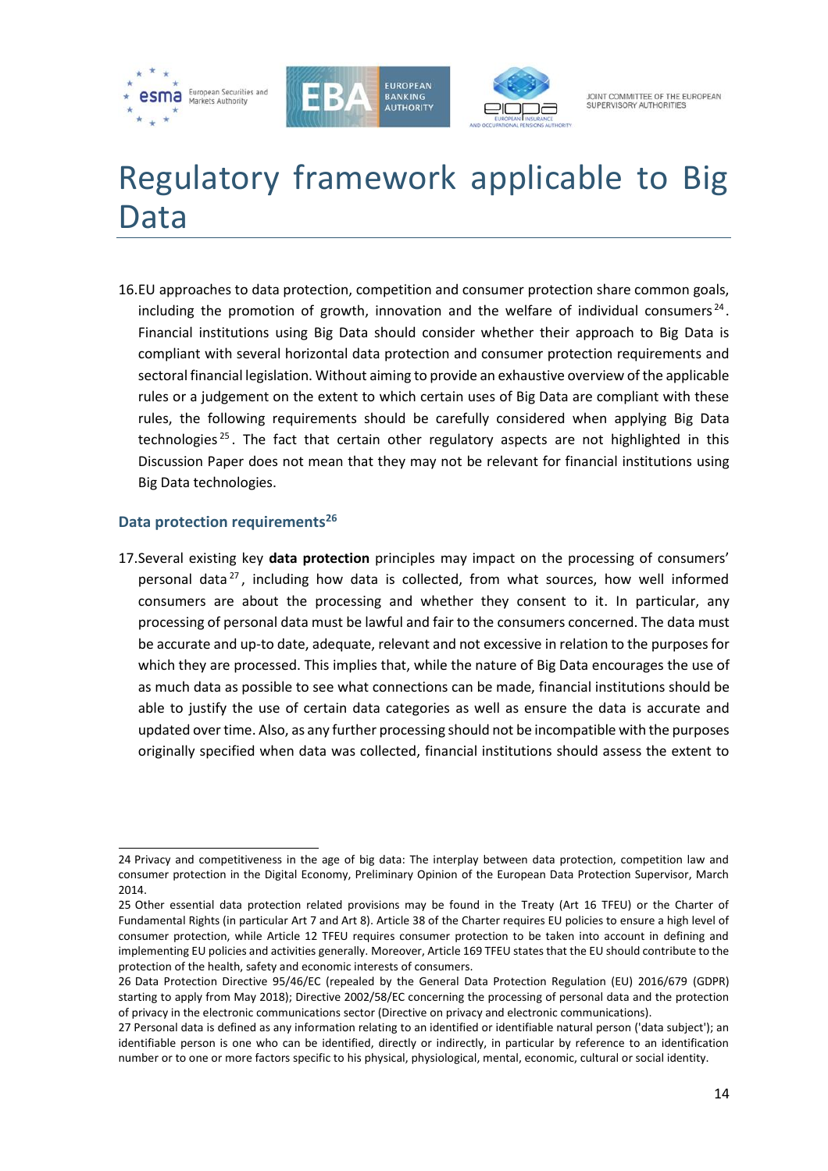





# <span id="page-13-0"></span>Regulatory framework applicable to Big Data

16.EU approaches to data protection, competition and consumer protection share common goals, including the promotion of growth, innovation and the welfare of individual consumers<sup>24</sup>. Financial institutions using Big Data should consider whether their approach to Big Data is compliant with several horizontal data protection and consumer protection requirements and sectoral financial legislation. Without aiming to provide an exhaustive overview of the applicable rules or a judgement on the extent to which certain uses of Big Data are compliant with these rules, the following requirements should be carefully considered when applying Big Data technologies<sup>25</sup>. The fact that certain other regulatory aspects are not highlighted in this Discussion Paper does not mean that they may not be relevant for financial institutions using Big Data technologies.

#### <span id="page-13-1"></span>**Data protection requirements<sup>26</sup>**

17.Several existing key **data protection** principles may impact on the processing of consumers' personal data $^{27}$ , including how data is collected, from what sources, how well informed consumers are about the processing and whether they consent to it. In particular, any processing of personal data must be lawful and fair to the consumers concerned. The data must be accurate and up-to date, adequate, relevant and not excessive in relation to the purposes for which they are processed. This implies that, while the nature of Big Data encourages the use of as much data as possible to see what connections can be made, financial institutions should be able to justify the use of certain data categories as well as ensure the data is accurate and updated over time. Also, as any further processing should not be incompatible with the purposes originally specified when data was collected, financial institutions should assess the extent to

<sup>1</sup> 24 Privacy and competitiveness in the age of big data: The interplay between data protection, competition law and consumer protection in the Digital Economy, Preliminary Opinion of the European Data Protection Supervisor, March 2014.

<sup>25</sup> Other essential data protection related provisions may be found in the Treaty (Art 16 TFEU) or the Charter of Fundamental Rights (in particular Art 7 and Art 8). Article 38 of the Charter requires EU policies to ensure a high level of consumer protection, while Article 12 TFEU requires consumer protection to be taken into account in defining and implementing EU policies and activities generally. Moreover, Article 169 TFEU states that the EU should contribute to the protection of the health, safety and economic interests of consumers.

<sup>26</sup> Data Protection Directive 95/46/EC (repealed by the General Data Protection Regulation (EU) 2016/679 (GDPR) starting to apply from May 2018); Directive 2002/58/EC concerning the processing of personal data and the protection of privacy in the electronic communications sector (Directive on privacy and electronic communications).

<sup>27</sup> Personal data is defined as any information relating to an identified or identifiable natural person ('data subject'); an identifiable person is one who can be identified, directly or indirectly, in particular by reference to an identification number or to one or more factors specific to his physical, physiological, mental, economic, cultural or social identity.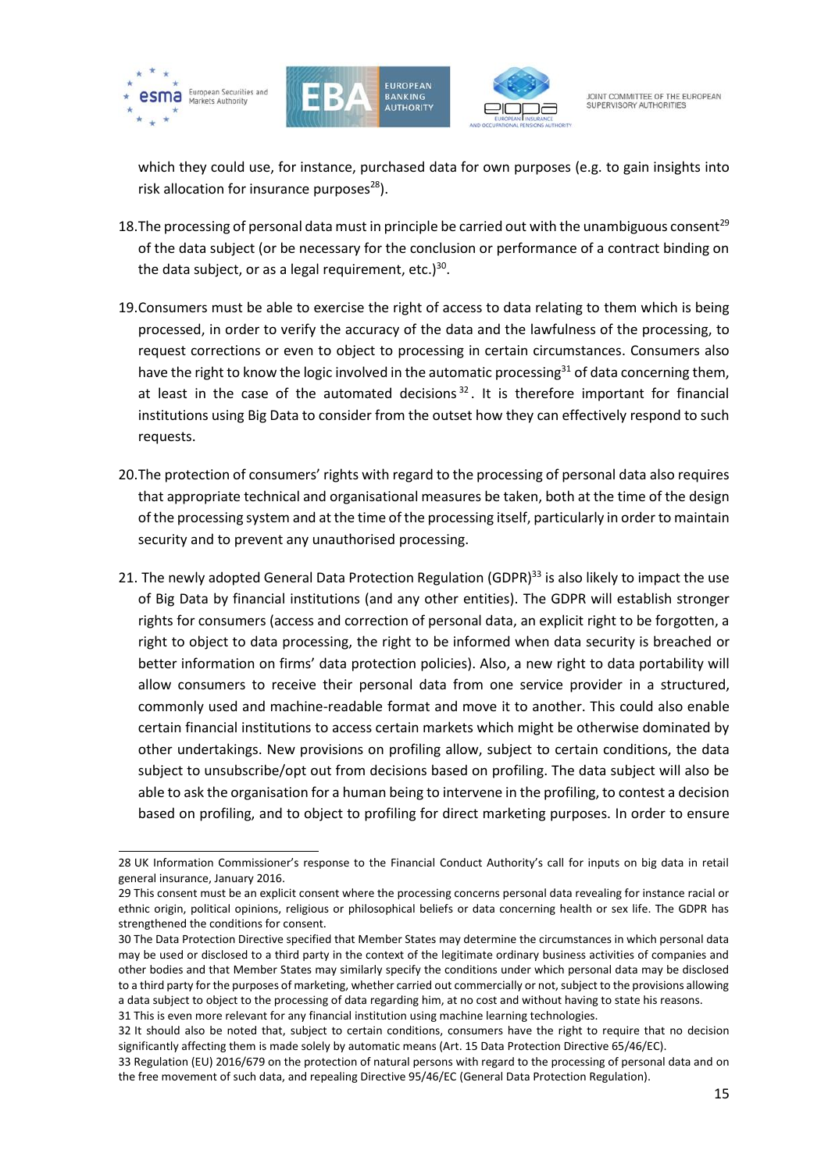





JOINT COMMITTEE OF THE FUROPEAN SUPERVISORY AUTHORITIES

which they could use, for instance, purchased data for own purposes (e.g. to gain insights into risk allocation for insurance purposes $^{28}$ ).

- 18. The processing of personal data must in principle be carried out with the unambiguous consent<sup>29</sup> of the data subject (or be necessary for the conclusion or performance of a contract binding on the data subject, or as a legal requirement, etc.)<sup>30</sup>.
- 19.Consumers must be able to exercise the right of access to data relating to them which is being processed, in order to verify the accuracy of the data and the lawfulness of the processing, to request corrections or even to object to processing in certain circumstances. Consumers also have the right to know the logic involved in the automatic processing $31$  of data concerning them, at least in the case of the automated decisions<sup>32</sup>. It is therefore important for financial institutions using Big Data to consider from the outset how they can effectively respond to such requests.
- 20.The protection of consumers' rights with regard to the processing of personal data also requires that appropriate technical and organisational measures be taken, both at the time of the design of the processing system and at the time of the processing itself, particularly in order to maintain security and to prevent any unauthorised processing.
- 21. The newly adopted General Data Protection Regulation (GDPR)<sup>33</sup> is also likely to impact the use of Big Data by financial institutions (and any other entities). The GDPR will establish stronger rights for consumers (access and correction of personal data, an explicit right to be forgotten, a right to object to data processing, the right to be informed when data security is breached or better information on firms' data protection policies). Also, a new right to data portability will allow consumers to receive their personal data from one service provider in a structured, commonly used and machine-readable format and move it to another. This could also enable certain financial institutions to access certain markets which might be otherwise dominated by other undertakings. New provisions on profiling allow, subject to certain conditions, the data subject to unsubscribe/opt out from decisions based on profiling. The data subject will also be able to ask the organisation for a human being to intervene in the profiling, to contest a decision based on profiling, and to object to profiling for direct marketing purposes. In order to ensure

<sup>28</sup> UK Information Commissioner's response to the Financial Conduct Authority's call for inputs on big data in retail general insurance, January 2016.

<sup>29</sup> This consent must be an explicit consent where the processing concerns personal data revealing for instance racial or ethnic origin, political opinions, religious or philosophical beliefs or data concerning health or sex life. The GDPR has strengthened the conditions for consent.

<sup>30</sup> The Data Protection Directive specified that Member States may determine the circumstances in which personal data may be used or disclosed to a third party in the context of the legitimate ordinary business activities of companies and other bodies and that Member States may similarly specify the conditions under which personal data may be disclosed to a third party for the purposes of marketing, whether carried out commercially or not, subject to the provisions allowing a data subject to object to the processing of data regarding him, at no cost and without having to state his reasons. 31 This is even more relevant for any financial institution using machine learning technologies.

<sup>32</sup> It should also be noted that, subject to certain conditions, consumers have the right to require that no decision significantly affecting them is made solely by automatic means (Art. 15 Data Protection Directive 65/46/EC).

<sup>33</sup> Regulation (EU) 2016/679 on the protection of natural persons with regard to the processing of personal data and on the free movement of such data, and repealing Directive 95/46/EC (General Data Protection Regulation).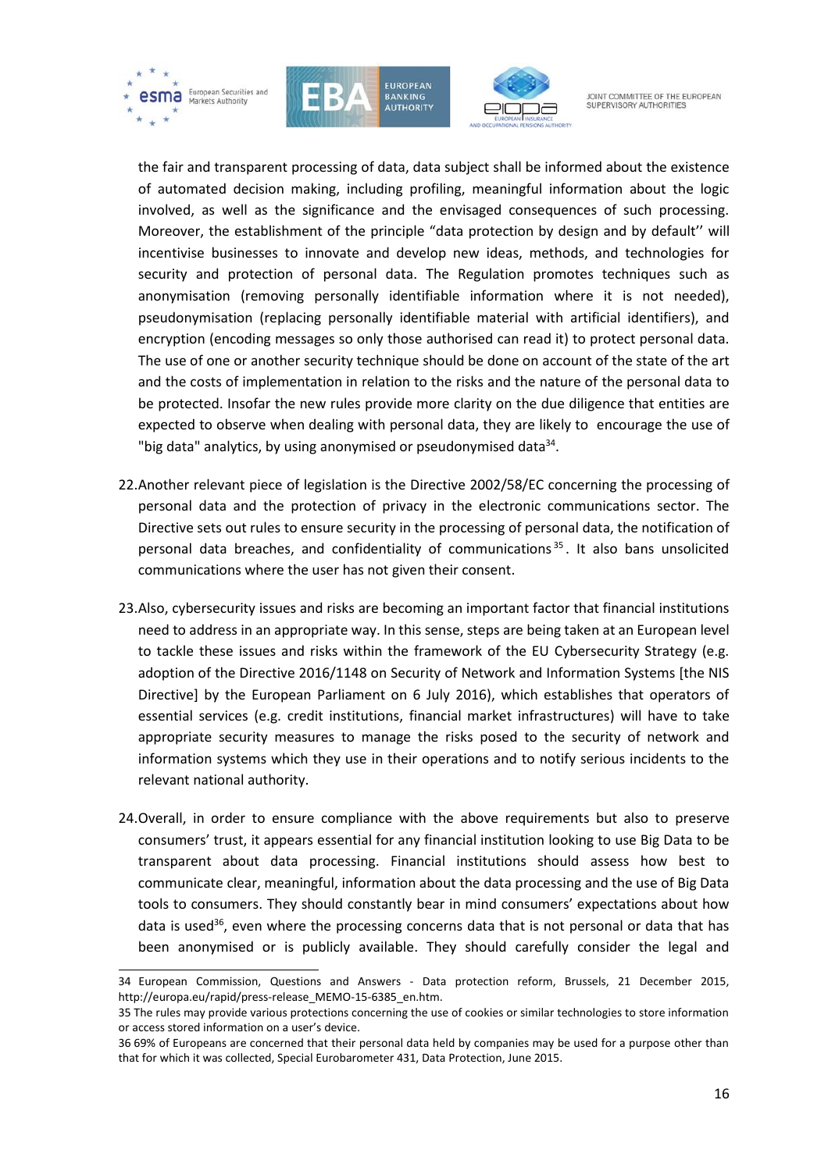





JOINT COMMITTEE OF THE FUROPEAN SUPERVISORY AUTHORITIE

the fair and transparent processing of data, data subject shall be informed about the existence of automated decision making, including profiling, meaningful information about the logic involved, as well as the significance and the envisaged consequences of such processing. Moreover, the establishment of the principle "data protection by design and by default'' will incentivise businesses to innovate and develop new ideas, methods, and technologies for security and protection of personal data. The Regulation promotes techniques such as anonymisation (removing personally identifiable information where it is not needed), pseudonymisation (replacing personally identifiable material with artificial identifiers), and encryption (encoding messages so only those authorised can read it) to protect personal data. The use of one or another security technique should be done on account of the state of the art and the costs of implementation in relation to the risks and the nature of the personal data to be protected. Insofar the new rules provide more clarity on the due diligence that entities are expected to observe when dealing with personal data, they are likely to encourage the use of "big data" analytics, by using anonymised or pseudonymised data $^{34}$ .

- 22.Another relevant piece of legislation is the Directive 2002/58/EC concerning the processing of personal data and the protection of privacy in the electronic communications sector. The Directive sets out rules to ensure security in the processing of personal data, the notification of personal data breaches, and confidentiality of communications<sup>35</sup>. It also bans unsolicited communications where the user has not given their consent.
- 23.Also, cybersecurity issues and risks are becoming an important factor that financial institutions need to address in an appropriate way. In this sense, steps are being taken at an European level to tackle these issues and risks within the framework of the EU Cybersecurity Strategy (e.g. adoption of the Directive 2016/1148 on Security of Network and Information Systems [the NIS Directive] by the European Parliament on 6 July 2016), which establishes that operators of essential services (e.g. credit institutions, financial market infrastructures) will have to take appropriate security measures to manage the risks posed to the security of network and information systems which they use in their operations and to notify serious incidents to the relevant national authority.
- 24.Overall, in order to ensure compliance with the above requirements but also to preserve consumers' trust, it appears essential for any financial institution looking to use Big Data to be transparent about data processing. Financial institutions should assess how best to communicate clear, meaningful, information about the data processing and the use of Big Data tools to consumers. They should constantly bear in mind consumers' expectations about how data is used<sup>36</sup>, even where the processing concerns data that is not personal or data that has been anonymised or is publicly available. They should carefully consider the legal and

<sup>34</sup> European Commission, Questions and Answers - Data protection reform, Brussels, 21 December 2015, [http://europa.eu/rapid/press-release\\_MEMO-15-6385\\_en.htm.](http://europa.eu/rapid/press-release_MEMO-15-6385_en.htm)

<sup>35</sup> The rules may provide various protections concerning the use of cookies or similar technologies to store information or access stored information on a user's device.

<sup>36</sup> 69% of Europeans are concerned that their personal data held by companies may be used for a purpose other than that for which it was collected, Special Eurobarometer 431, Data Protection, June 2015.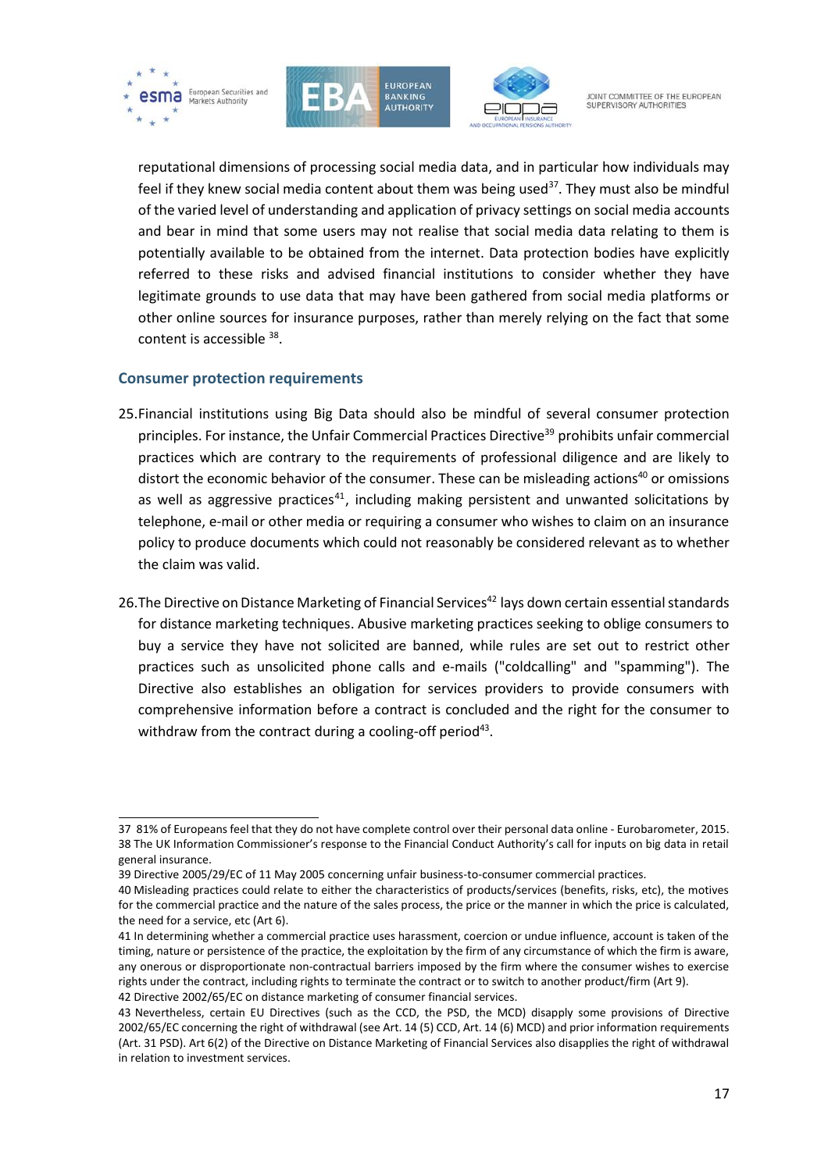





reputational dimensions of processing social media data, and in particular how individuals may feel if they knew social media content about them was being used<sup>37</sup>. They must also be mindful of the varied level of understanding and application of privacy settings on social media accounts and bear in mind that some users may not realise that social media data relating to them is potentially available to be obtained from the internet. Data protection bodies have explicitly referred to these risks and advised financial institutions to consider whether they have legitimate grounds to use data that may have been gathered from social media platforms or other online sources for insurance purposes, rather than merely relying on the fact that some content is accessible <sup>38</sup>.

### <span id="page-16-0"></span>**Consumer protection requirements**

1

- 25.Financial institutions using Big Data should also be mindful of several consumer protection principles. For instance, the Unfair Commercial Practices Directive<sup>39</sup> prohibits unfair commercial practices which are contrary to the requirements of professional diligence and are likely to distort the economic behavior of the consumer. These can be misleading actions<sup>40</sup> or omissions as well as aggressive practices<sup>41</sup>, including making persistent and unwanted solicitations by telephone, e-mail or other media or requiring a consumer who wishes to claim on an insurance policy to produce documents which could not reasonably be considered relevant as to whether the claim was valid.
- 26. The Directive on Distance Marketing of Financial Services<sup>42</sup> lays down certain essential standards for distance marketing techniques. Abusive marketing practices seeking to oblige consumers to buy a service they have not solicited are banned, while rules are set out to restrict other practices such as unsolicited phone calls and e-mails ("coldcalling" and "spamming"). The Directive also establishes an obligation for services providers to provide consumers with comprehensive information before a contract is concluded and the right for the consumer to withdraw from the contract during a cooling-off period<sup>43</sup>.

<sup>37 81%</sup> of Europeans feel that they do not have complete control over their personal data online - Eurobarometer, 2015. 38 The UK Information Commissioner's response to the Financial Conduct Authority's call for inputs on big data in retail general insurance.

<sup>39</sup> Directive 2005/29/EC of 11 May 2005 concerning unfair business-to-consumer commercial practices.

<sup>40</sup> Misleading practices could relate to either the characteristics of products/services (benefits, risks, etc), the motives for the commercial practice and the nature of the sales process, the price or the manner in which the price is calculated, the need for a service, etc (Art 6).

<sup>41</sup> In determining whether a commercial practice uses harassment, coercion or undue influence, account is taken of the timing, nature or persistence of the practice, the exploitation by the firm of any circumstance of which the firm is aware, any onerous or disproportionate non-contractual barriers imposed by the firm where the consumer wishes to exercise rights under the contract, including rights to terminate the contract or to switch to another product/firm (Art 9). 42 Directive 2002/65/EC on distance marketing of consumer financial services.

<sup>43</sup> Nevertheless, certain EU Directives (such as the CCD, the PSD, the MCD) disapply some provisions of Directive 2002/65/EC concerning the right of withdrawal (see Art. 14 (5) CCD, Art. 14 (6) MCD) and prior information requirements (Art. 31 PSD). Art 6(2) of the Directive on Distance Marketing of Financial Services also disapplies the right of withdrawal in relation to investment services.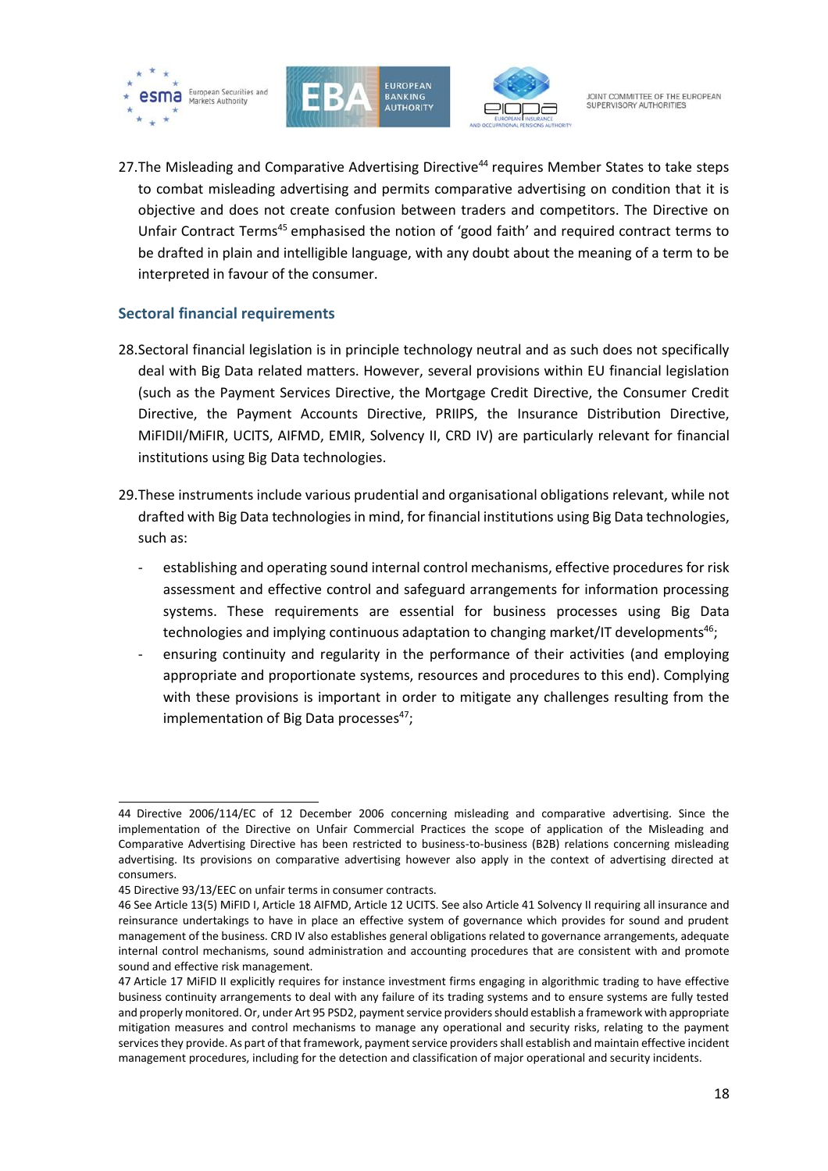





27. The Misleading and Comparative Advertising Directive<sup>44</sup> requires Member States to take steps to combat misleading advertising and permits comparative advertising on condition that it is objective and does not create confusion between traders and competitors. The Directive on Unfair Contract Terms<sup>45</sup> emphasised the notion of 'good faith' and required contract terms to be drafted in plain and intelligible language, with any doubt about the meaning of a term to be interpreted in favour of the consumer.

### <span id="page-17-0"></span>**Sectoral financial requirements**

- 28.Sectoral financial legislation is in principle technology neutral and as such does not specifically deal with Big Data related matters. However, several provisions within EU financial legislation (such as the Payment Services Directive, the Mortgage Credit Directive, the Consumer Credit Directive, the Payment Accounts Directive, PRIIPS, the Insurance Distribution Directive, MiFIDII/MiFIR, UCITS, AIFMD, EMIR, Solvency II, CRD IV) are particularly relevant for financial institutions using Big Data technologies.
- 29.These instruments include various prudential and organisational obligations relevant, while not drafted with Big Data technologies in mind, for financial institutions using Big Data technologies, such as:
	- establishing and operating sound internal control mechanisms, effective procedures for risk assessment and effective control and safeguard arrangements for information processing systems. These requirements are essential for business processes using Big Data technologies and implying continuous adaptation to changing market/IT developments<sup>46</sup>;
	- ensuring continuity and regularity in the performance of their activities (and employing appropriate and proportionate systems, resources and procedures to this end). Complying with these provisions is important in order to mitigate any challenges resulting from the implementation of Big Data processes $47$ ;

<sup>1</sup> 44 Directive 2006/114/EC of 12 December 2006 concerning misleading and comparative advertising. Since the implementation of the Directive on Unfair Commercial Practices the scope of application of the Misleading and Comparative Advertising Directive has been restricted to business-to-business (B2B) relations concerning misleading advertising. Its provisions on comparative advertising however also apply in the context of advertising directed at consumers.

<sup>45</sup> Directive 93/13/EEC on unfair terms in consumer contracts.

<sup>46</sup> See Article 13(5) MiFID I, Article 18 AIFMD, Article 12 UCITS. See also Article 41 Solvency II requiring all insurance and reinsurance undertakings to have in place an effective system of governance which provides for sound and prudent management of the business. CRD IV also establishes general obligations related to governance arrangements, adequate internal control mechanisms, sound administration and accounting procedures that are consistent with and promote sound and effective risk management.

<sup>47</sup> Article 17 MiFID II explicitly requires for instance investment firms engaging in algorithmic trading to have effective business continuity arrangements to deal with any failure of its trading systems and to ensure systems are fully tested and properly monitored. Or, under Art 95 PSD2, payment service providers should establish a framework with appropriate mitigation measures and control mechanisms to manage any operational and security risks, relating to the payment services they provide. As part of that framework, payment service providers shall establish and maintain effective incident management procedures, including for the detection and classification of major operational and security incidents.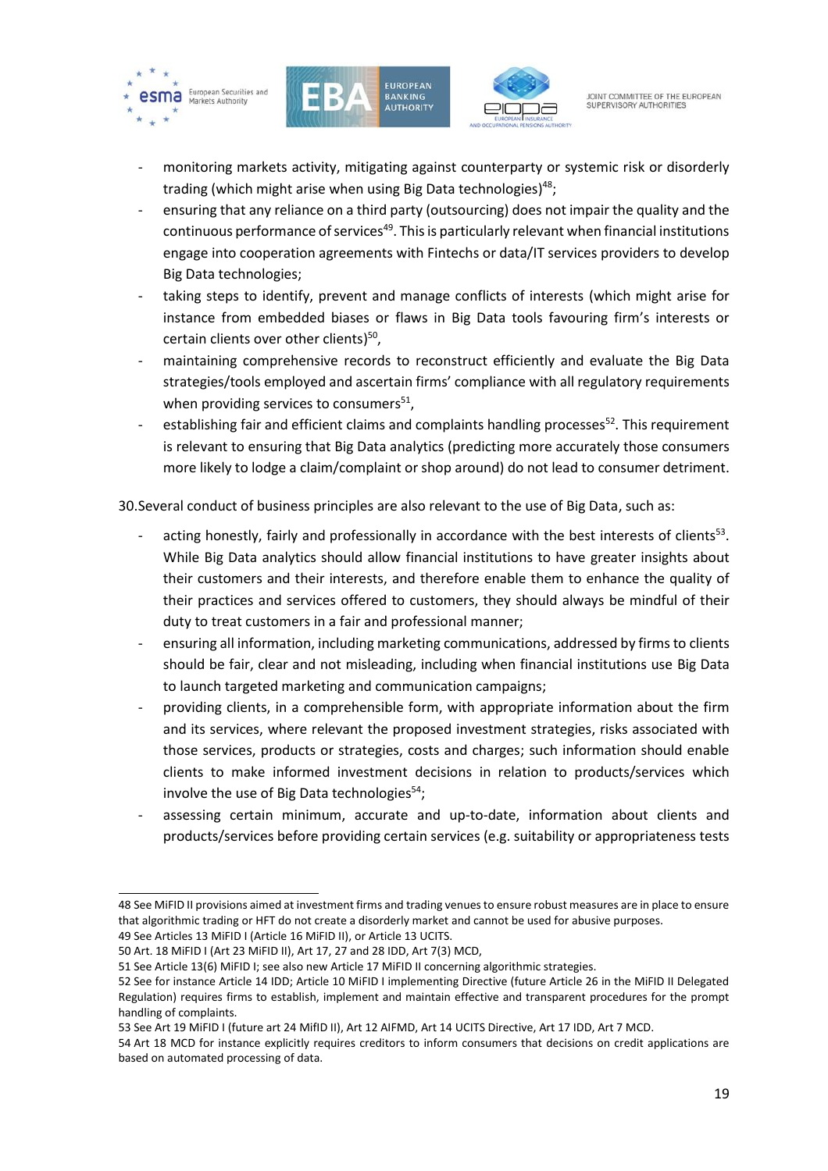





- monitoring markets activity, mitigating against counterparty or systemic risk or disorderly trading (which might arise when using Big Data technologies) 48;
- ensuring that any reliance on a third party (outsourcing) does not impair the quality and the continuous performance of services<sup>49</sup>. This is particularly relevant when financial institutions engage into cooperation agreements with Fintechs or data/IT services providers to develop Big Data technologies;
- taking steps to identify, prevent and manage conflicts of interests (which might arise for instance from embedded biases or flaws in Big Data tools favouring firm's interests or certain clients over other clients) 50 ,
- maintaining comprehensive records to reconstruct efficiently and evaluate the Big Data strategies/tools employed and ascertain firms' compliance with all regulatory requirements when providing services to consumers<sup>51</sup>,
- establishing fair and efficient claims and complaints handling processes<sup>52</sup>. This requirement is relevant to ensuring that Big Data analytics (predicting more accurately those consumers more likely to lodge a claim/complaint or shop around) do not lead to consumer detriment.

30.Several conduct of business principles are also relevant to the use of Big Data, such as:

- acting honestly, fairly and professionally in accordance with the best interests of clients<sup>53</sup>. While Big Data analytics should allow financial institutions to have greater insights about their customers and their interests, and therefore enable them to enhance the quality of their practices and services offered to customers, they should always be mindful of their duty to treat customers in a fair and professional manner;
- ensuring all information, including marketing communications, addressed by firms to clients should be fair, clear and not misleading, including when financial institutions use Big Data to launch targeted marketing and communication campaigns;
- providing clients, in a comprehensible form, with appropriate information about the firm and its services, where relevant the proposed investment strategies, risks associated with those services, products or strategies, costs and charges; such information should enable clients to make informed investment decisions in relation to products/services which involve the use of Big Data technologies $54$ ;
- assessing certain minimum, accurate and up-to-date, information about clients and products/services before providing certain services (e.g. suitability or appropriateness tests

49 See Articles 13 MiFID I (Article 16 MiFID II), or Article 13 UCITS.

f 48 See MiFID II provisions aimed at investment firms and trading venues to ensure robust measures are in place to ensure that algorithmic trading or HFT do not create a disorderly market and cannot be used for abusive purposes.

<sup>50</sup> Art. 18 MiFID I (Art 23 MiFID II), Art 17, 27 and 28 IDD, Art 7(3) MCD,

<sup>51</sup> See Article 13(6) MiFID I; see also new Article 17 MiFID II concerning algorithmic strategies.

<sup>52</sup> See for instance Article 14 IDD; Article 10 MiFID I implementing Directive (future Article 26 in the MiFID II Delegated Regulation) requires firms to establish, implement and maintain effective and transparent procedures for the prompt handling of complaints.

<sup>53</sup> See Art 19 MiFID I (future art 24 MifID II), Art 12 AIFMD, Art 14 UCITS Directive, Art 17 IDD, Art 7 MCD.

<sup>54</sup> Art 18 MCD for instance explicitly requires creditors to inform consumers that decisions on credit applications are based on automated processing of data.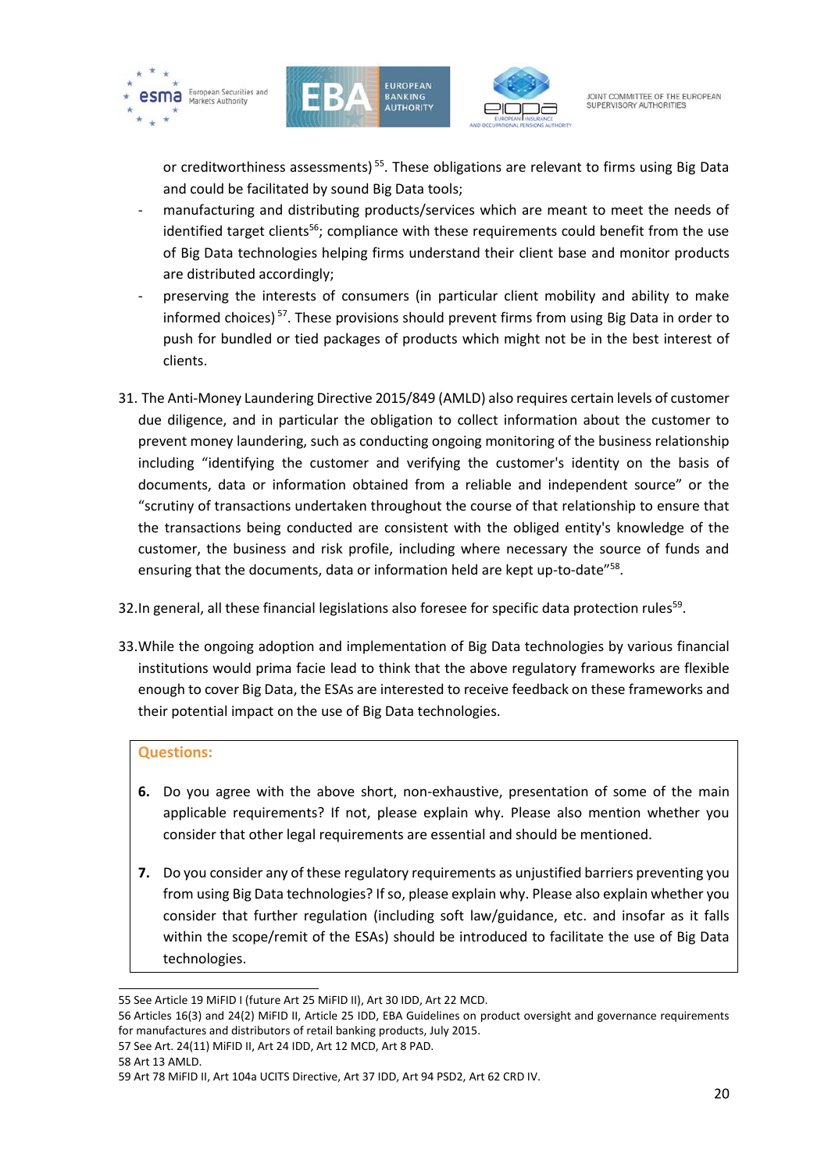





or creditworthiness assessments)<sup>55</sup>. These obligations are relevant to firms using Big Data and could be facilitated by sound Big Data tools;

- manufacturing and distributing products/services which are meant to meet the needs of identified target clients<sup>56</sup>; compliance with these requirements could benefit from the use of Big Data technologies helping firms understand their client base and monitor products are distributed accordingly;
- preserving the interests of consumers (in particular client mobility and ability to make informed choices)<sup>57</sup>. These provisions should prevent firms from using Big Data in order to push for bundled or tied packages of products which might not be in the best interest of clients.
- 31. The Anti-Money Laundering Directive 2015/849 (AMLD) also requires certain levels of customer due diligence, and in particular the obligation to collect information about the customer to prevent money laundering, such as conducting ongoing monitoring of the business relationship including "identifying the customer and verifying the customer's identity on the basis of documents, data or information obtained from a reliable and independent source" or the "scrutiny of transactions undertaken throughout the course of that relationship to ensure that the transactions being conducted are consistent with the obliged entity's knowledge of the customer, the business and risk profile, including where necessary the source of funds and ensuring that the documents, data or information held are kept up-to-date"<sup>58</sup>.
- 32. In general, all these financial legislations also foresee for specific data protection rules<sup>59</sup>.
- 33.While the ongoing adoption and implementation of Big Data technologies by various financial institutions would prima facie lead to think that the above regulatory frameworks are flexible enough to cover Big Data, the ESAs are interested to receive feedback on these frameworks and their potential impact on the use of Big Data technologies.

#### **Questions:**

- **6.** Do you agree with the above short, non-exhaustive, presentation of some of the main applicable requirements? If not, please explain why. Please also mention whether you consider that other legal requirements are essential and should be mentioned.
- **7.** Do you consider any of these regulatory requirements as unjustified barriers preventing you from using Big Data technologies? If so, please explain why. Please also explain whether you consider that further regulation (including soft law/guidance, etc. and insofar as it falls within the scope/remit of the ESAs) should be introduced to facilitate the use of Big Data technologies.

58 Art 13 AMLD.

<sup>1</sup> 55 See Article 19 MiFID I (future Art 25 MiFID II), Art 30 IDD, Art 22 MCD.

<sup>56</sup> Articles 16(3) and 24(2) MiFID II, Article 25 IDD, EBA Guidelines on product oversight and governance requirements for manufactures and distributors of retail banking products, July 2015.

<sup>57</sup> See Art. 24(11) MiFID II, Art 24 IDD, Art 12 MCD, Art 8 PAD.

<sup>59</sup> Art 78 MiFID II, Art 104a UCITS Directive, Art 37 IDD, Art 94 PSD2, Art 62 CRD IV.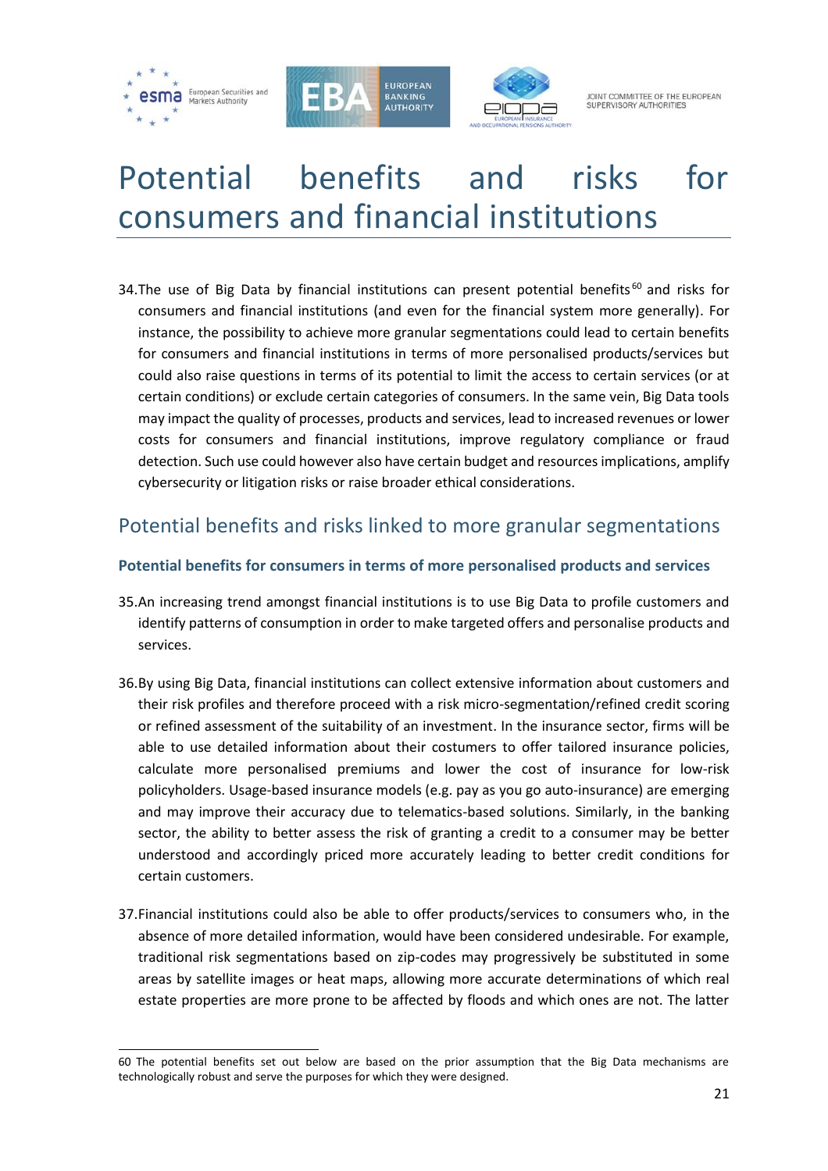





JOINT COMMITTEE OF THE FUROPEAN SUPERVISORY AUTHORITIES

# <span id="page-20-0"></span>Potential benefits and risks for consumers and financial institutions

34. The use of Big Data by financial institutions can present potential benefits<sup>60</sup> and risks for consumers and financial institutions (and even for the financial system more generally). For instance, the possibility to achieve more granular segmentations could lead to certain benefits for consumers and financial institutions in terms of more personalised products/services but could also raise questions in terms of its potential to limit the access to certain services (or at certain conditions) or exclude certain categories of consumers. In the same vein, Big Data tools may impact the quality of processes, products and services, lead to increased revenues or lower costs for consumers and financial institutions, improve regulatory compliance or fraud detection. Such use could however also have certain budget and resources implications, amplify cybersecurity or litigation risks or raise broader ethical considerations.

## <span id="page-20-1"></span>Potential benefits and risks linked to more granular segmentations

### <span id="page-20-2"></span>**Potential benefits for consumers in terms of more personalised products and services**

- 35.An increasing trend amongst financial institutions is to use Big Data to profile customers and identify patterns of consumption in order to make targeted offers and personalise products and services.
- 36.By using Big Data, financial institutions can collect extensive information about customers and their risk profiles and therefore proceed with a risk micro-segmentation/refined credit scoring or refined assessment of the suitability of an investment. In the insurance sector, firms will be able to use detailed information about their costumers to offer tailored insurance policies, calculate more personalised premiums and lower the cost of insurance for low-risk policyholders. Usage-based insurance models (e.g. pay as you go auto-insurance) are emerging and may improve their accuracy due to telematics-based solutions. Similarly, in the banking sector, the ability to better assess the risk of granting a credit to a consumer may be better understood and accordingly priced more accurately leading to better credit conditions for certain customers.
- 37.Financial institutions could also be able to offer products/services to consumers who, in the absence of more detailed information, would have been considered undesirable. For example, traditional risk segmentations based on zip-codes may progressively be substituted in some areas by satellite images or heat maps, allowing more accurate determinations of which real estate properties are more prone to be affected by floods and which ones are not. The latter

<sup>60</sup> The potential benefits set out below are based on the prior assumption that the Big Data mechanisms are technologically robust and serve the purposes for which they were designed.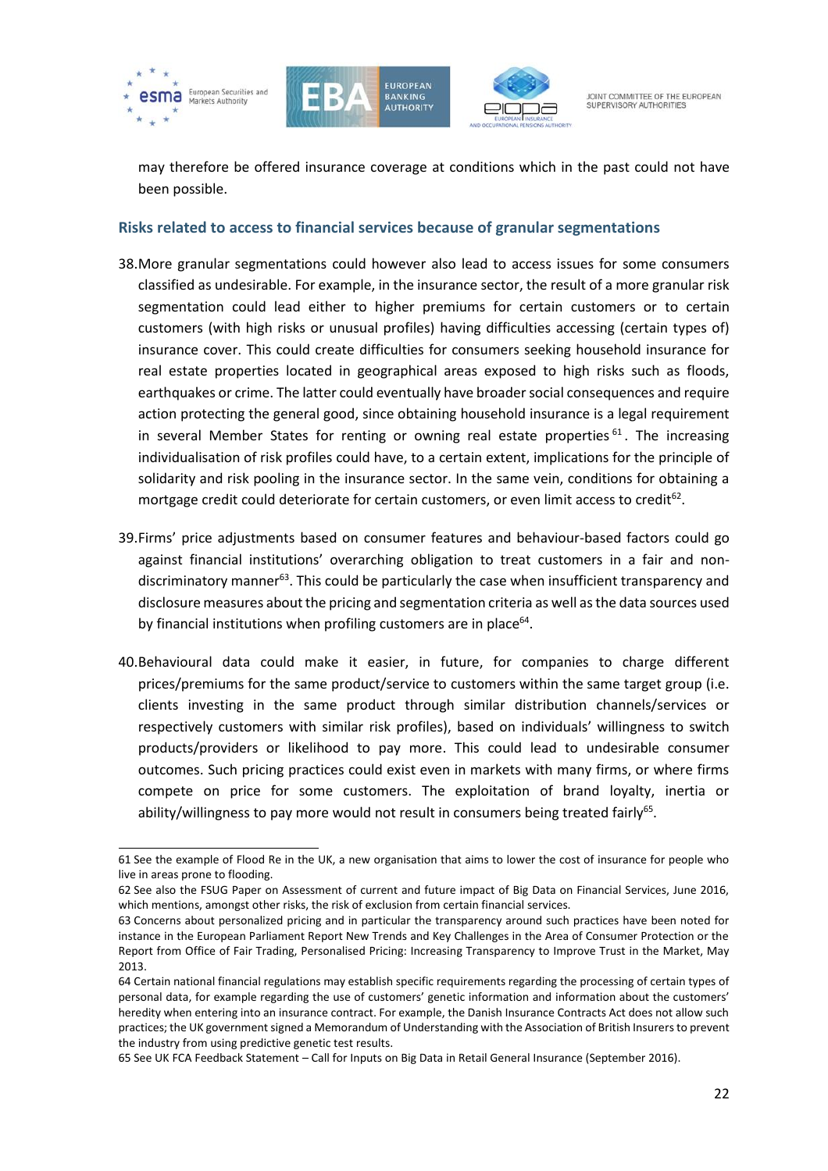





may therefore be offered insurance coverage at conditions which in the past could not have been possible.

#### <span id="page-21-0"></span>**Risks related to access to financial services because of granular segmentations**

- 38.More granular segmentations could however also lead to access issues for some consumers classified as undesirable. For example, in the insurance sector, the result of a more granular risk segmentation could lead either to higher premiums for certain customers or to certain customers (with high risks or unusual profiles) having difficulties accessing (certain types of) insurance cover. This could create difficulties for consumers seeking household insurance for real estate properties located in geographical areas exposed to high risks such as floods, earthquakes or crime. The latter could eventually have broader social consequences and require action protecting the general good, since obtaining household insurance is a legal requirement in several Member States for renting or owning real estate properties  $61$ . The increasing individualisation of risk profiles could have, to a certain extent, implications for the principle of solidarity and risk pooling in the insurance sector. In the same vein, conditions for obtaining a mortgage credit could deteriorate for certain customers, or even limit access to credit<sup>62</sup>.
- 39.Firms' price adjustments based on consumer features and behaviour-based factors could go against financial institutions' overarching obligation to treat customers in a fair and nondiscriminatory manner<sup>63</sup>. This could be particularly the case when insufficient transparency and disclosure measures about the pricing and segmentation criteria as well as the data sources used by financial institutions when profiling customers are in place<sup>64</sup>.
- 40.Behavioural data could make it easier, in future, for companies to charge different prices/premiums for the same product/service to customers within the same target group (i.e. clients investing in the same product through similar distribution channels/services or respectively customers with similar risk profiles), based on individuals' willingness to switch products/providers or likelihood to pay more. This could lead to undesirable consumer outcomes. Such pricing practices could exist even in markets with many firms, or where firms compete on price for some customers. The exploitation of brand loyalty, inertia or ability/willingness to pay more would not result in consumers being treated fairly<sup>65</sup>.

 61 See the example of Flood Re in the UK, a new organisation that aims to lower the cost of insurance for people who live in areas prone to flooding.

<sup>62</sup> See also the FSUG Paper on Assessment of current and future impact of Big Data on Financial Services, June 2016, which mentions, amongst other risks, the risk of exclusion from certain financial services.

<sup>63</sup> Concerns about personalized pricing and in particular the transparency around such practices have been noted for instance in the European Parliament Report New Trends and Key Challenges in the Area of Consumer Protection or the Report from Office of Fair Trading, Personalised Pricing: Increasing Transparency to Improve Trust in the Market, May 2013.

<sup>64</sup> Certain national financial regulations may establish specific requirements regarding the processing of certain types of personal data, for example regarding the use of customers' genetic information and information about the customers' heredity when entering into an insurance contract. For example, the Danish Insurance Contracts Act does not allow such practices; the UK government signed a Memorandum of Understanding with the Association of British Insurers to prevent the industry from using predictive genetic test results.

<sup>65</sup> See UK FCA Feedback Statement – Call for Inputs on Big Data in Retail General Insurance (September 2016).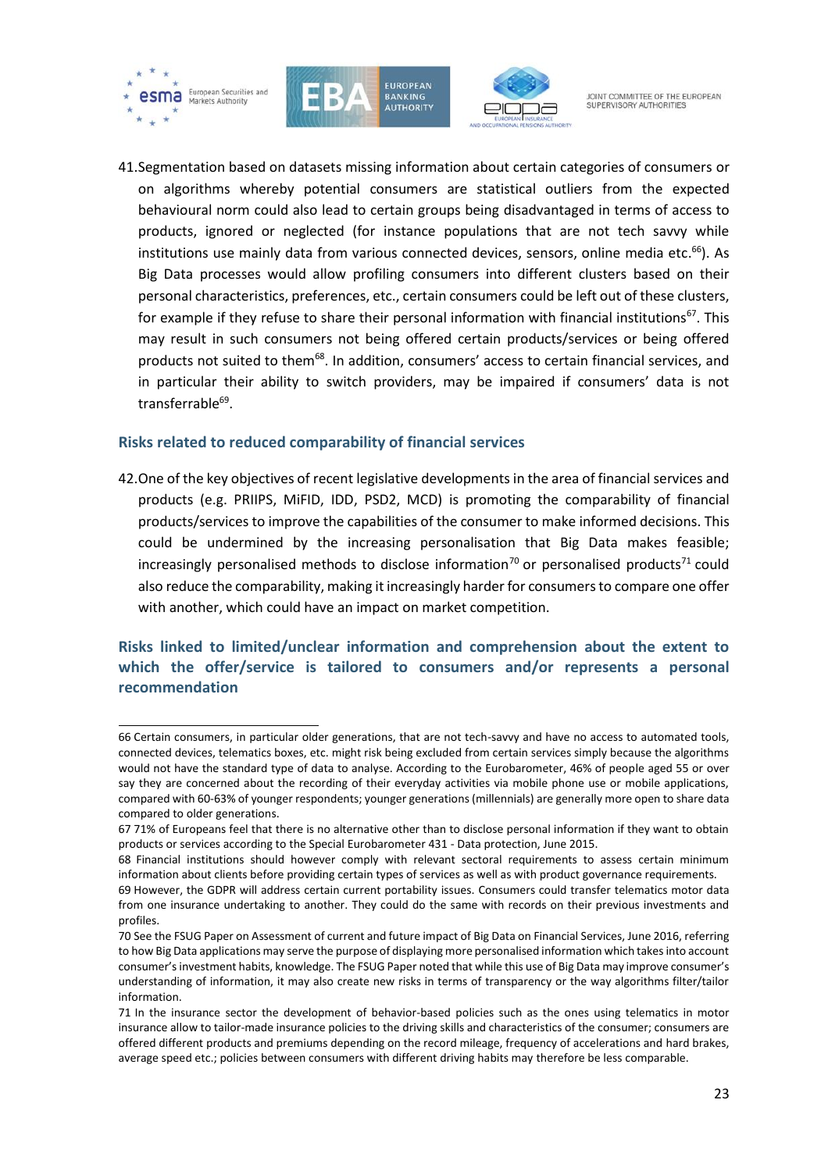

f





JOINT COMMITTEE OF THE FUROPEAN SUPERVISORY AUTHORITIE

41.Segmentation based on datasets missing information about certain categories of consumers or on algorithms whereby potential consumers are statistical outliers from the expected behavioural norm could also lead to certain groups being disadvantaged in terms of access to products, ignored or neglected (for instance populations that are not tech savvy while institutions use mainly data from various connected devices, sensors, online media etc.<sup>66</sup>). As Big Data processes would allow profiling consumers into different clusters based on their personal characteristics, preferences, etc., certain consumers could be left out of these clusters, for example if they refuse to share their personal information with financial institutions<sup>67</sup>. This may result in such consumers not being offered certain products/services or being offered products not suited to them<sup>68</sup>. In addition, consumers' access to certain financial services, and in particular their ability to switch providers, may be impaired if consumers' data is not transferrable<sup>69</sup>.

#### <span id="page-22-0"></span>**Risks related to reduced comparability of financial services**

42.One of the key objectives of recent legislative developments in the area of financial services and products (e.g. PRIIPS, MiFID, IDD, PSD2, MCD) is promoting the comparability of financial products/services to improve the capabilities of the consumer to make informed decisions. This could be undermined by the increasing personalisation that Big Data makes feasible; increasingly personalised methods to disclose information<sup>70</sup> or personalised products<sup>71</sup> could also reduce the comparability, making it increasingly harder for consumers to compare one offer with another, which could have an impact on market competition.

### <span id="page-22-1"></span>**Risks linked to limited/unclear information and comprehension about the extent to which the offer/service is tailored to consumers and/or represents a personal recommendation**

<sup>66</sup> Certain consumers, in particular older generations, that are not tech-savvy and have no access to automated tools, connected devices, telematics boxes, etc. might risk being excluded from certain services simply because the algorithms would not have the standard type of data to analyse. According to the Eurobarometer, 46% of people aged 55 or over say they are concerned about the recording of their everyday activities via mobile phone use or mobile applications, compared with 60-63% of younger respondents; younger generations (millennials) are generally more open to share data compared to older generations.

<sup>67</sup> 71% of Europeans feel that there is no alternative other than to disclose personal information if they want to obtain products or services according to the Special Eurobarometer 431 - Data protection, June 2015.

<sup>68</sup> Financial institutions should however comply with relevant sectoral requirements to assess certain minimum information about clients before providing certain types of services as well as with product governance requirements.

<sup>69</sup> However, the GDPR will address certain current portability issues. Consumers could transfer telematics motor data from one insurance undertaking to another. They could do the same with records on their previous investments and profiles.

<sup>70</sup> See the FSUG Paper on Assessment of current and future impact of Big Data on Financial Services, June 2016, referring to how Big Data applications may serve the purpose of displaying more personalised information which takes into account consumer's investment habits, knowledge. The FSUG Paper noted that while this use of Big Data may improve consumer's understanding of information, it may also create new risks in terms of transparency or the way algorithms filter/tailor information.

<sup>71</sup> In the insurance sector the development of behavior-based policies such as the ones using telematics in motor insurance allow to tailor-made insurance policies to the driving skills and characteristics of the consumer; consumers are offered different products and premiums depending on the record mileage, frequency of accelerations and hard brakes, average speed etc.; policies between consumers with different driving habits may therefore be less comparable.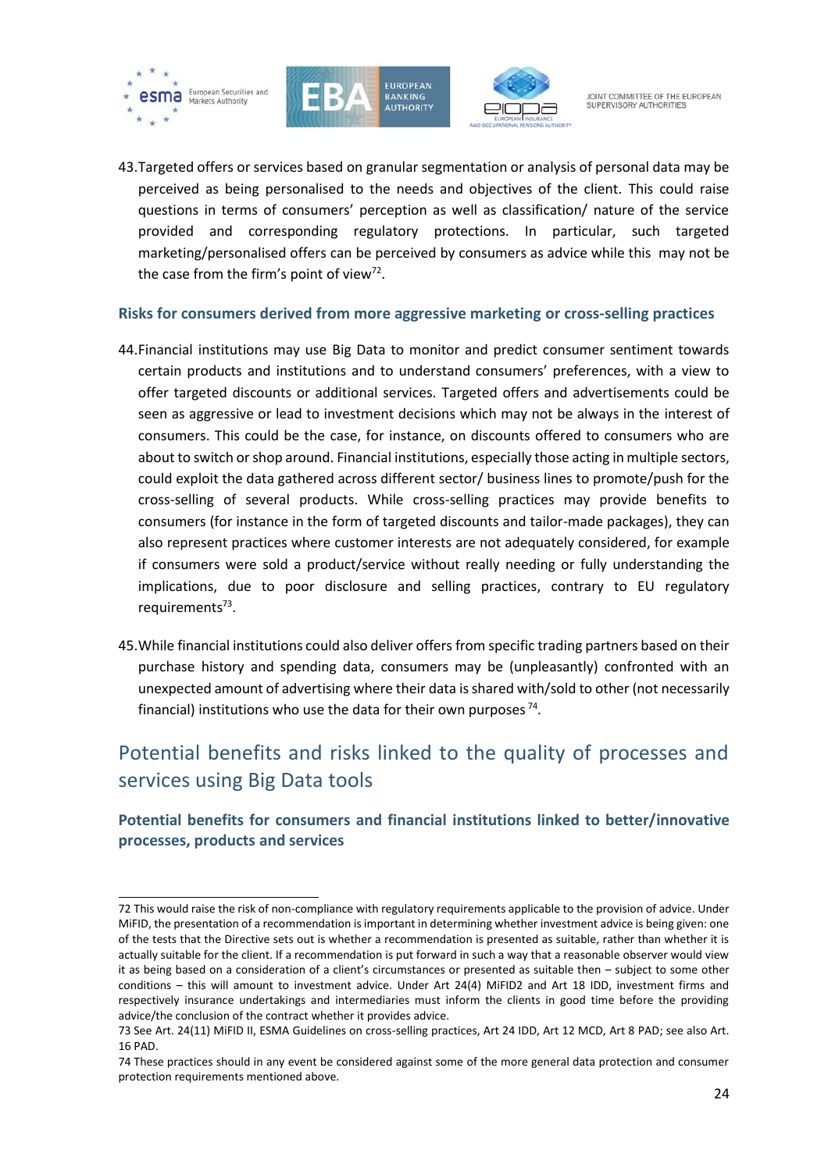





JOINT COMMITTEE OF THE FUROPEAN SUPERVISORY AUTHORITIE

43.Targeted offers or services based on granular segmentation or analysis of personal data may be perceived as being personalised to the needs and objectives of the client. This could raise questions in terms of consumers' perception as well as classification/ nature of the service provided and corresponding regulatory protections. In particular, such targeted marketing/personalised offers can be perceived by consumers as advice while this may not be the case from the firm's point of view<sup>72</sup>.

#### <span id="page-23-0"></span>**Risks for consumers derived from more aggressive marketing or cross-selling practices**

- 44.Financial institutions may use Big Data to monitor and predict consumer sentiment towards certain products and institutions and to understand consumers' preferences, with a view to offer targeted discounts or additional services. Targeted offers and advertisements could be seen as aggressive or lead to investment decisions which may not be always in the interest of consumers. This could be the case, for instance, on discounts offered to consumers who are about to switch or shop around. Financial institutions, especially those acting in multiple sectors, could exploit the data gathered across different sector/ business lines to promote/push for the cross-selling of several products. While cross-selling practices may provide benefits to consumers (for instance in the form of targeted discounts and tailor-made packages), they can also represent practices where customer interests are not adequately considered, for example if consumers were sold a product/service without really needing or fully understanding the implications, due to poor disclosure and selling practices, contrary to EU regulatory requirements<sup>73</sup>.
- 45.While financial institutions could also deliver offers from specific trading partners based on their purchase history and spending data, consumers may be (unpleasantly) confronted with an unexpected amount of advertising where their data is shared with/sold to other (not necessarily financial) institutions who use the data for their own purposes<sup>74</sup>.

# <span id="page-23-1"></span>Potential benefits and risks linked to the quality of processes and services using Big Data tools

### <span id="page-23-2"></span>**Potential benefits for consumers and financial institutions linked to better/innovative processes, products and services**

<sup>72</sup> This would raise the risk of non-compliance with regulatory requirements applicable to the provision of advice. Under MiFID, the presentation of a recommendation is important in determining whether investment advice is being given: one of the tests that the Directive sets out is whether a recommendation is presented as suitable, rather than whether it is actually suitable for the client. If a recommendation is put forward in such a way that a reasonable observer would view it as being based on a consideration of a client's circumstances or presented as suitable then – subject to some other conditions – this will amount to investment advice. Under Art 24(4) MiFID2 and Art 18 IDD, investment firms and respectively insurance undertakings and intermediaries must inform the clients in good time before the providing advice/the conclusion of the contract whether it provides advice.

<sup>73</sup> See Art. 24(11) MiFID II, ESMA Guidelines on cross-selling practices, Art 24 IDD, Art 12 MCD, Art 8 PAD; see also Art. 16 PAD.

<sup>74</sup> These practices should in any event be considered against some of the more general data protection and consumer protection requirements mentioned above.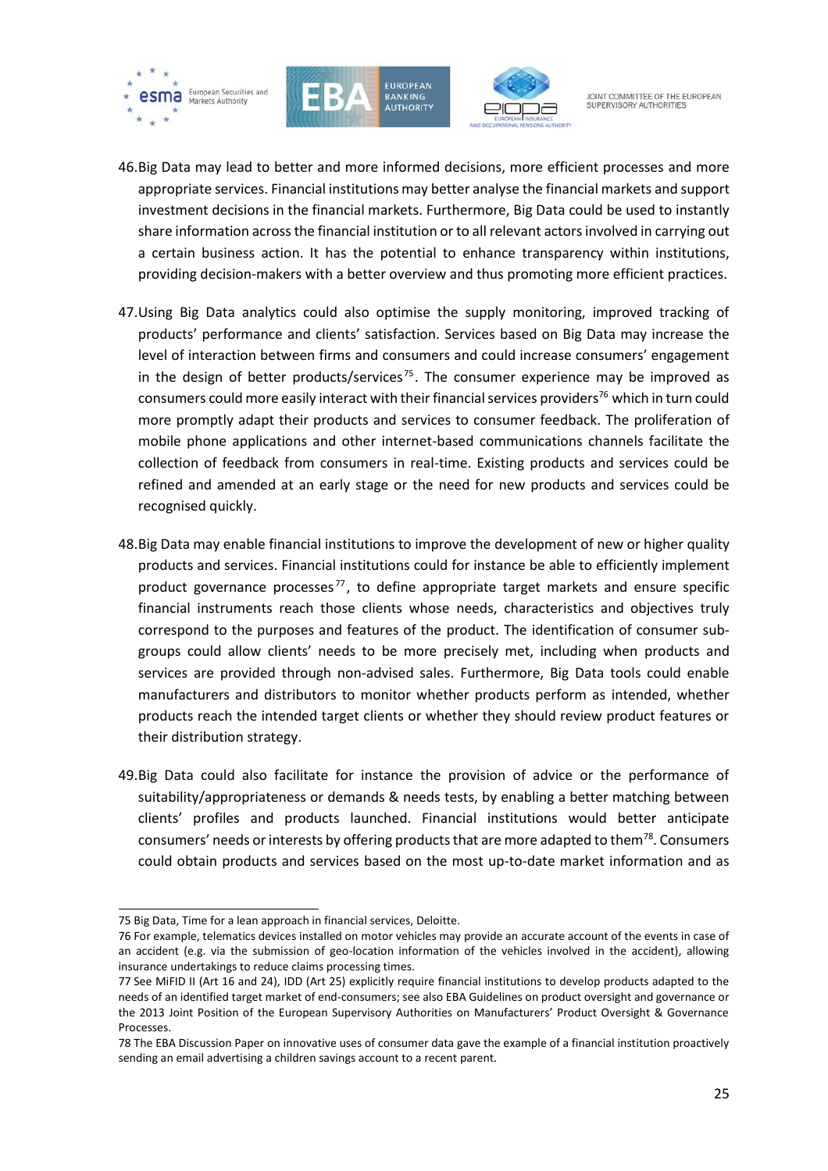





- 46.Big Data may lead to better and more informed decisions, more efficient processes and more appropriate services. Financial institutions may better analyse the financial markets and support investment decisions in the financial markets. Furthermore, Big Data could be used to instantly share information across the financial institution or to all relevant actors involved in carrying out a certain business action. It has the potential to enhance transparency within institutions, providing decision-makers with a better overview and thus promoting more efficient practices.
- 47.Using Big Data analytics could also optimise the supply monitoring, improved tracking of products' performance and clients' satisfaction. Services based on Big Data may increase the level of interaction between firms and consumers and could increase consumers' engagement in the design of better products/services<sup>75</sup>. The consumer experience may be improved as consumers could more easily interact with their financial services providers<sup>76</sup> which in turn could more promptly adapt their products and services to consumer feedback. The proliferation of mobile phone applications and other internet-based communications channels facilitate the collection of feedback from consumers in real-time. Existing products and services could be refined and amended at an early stage or the need for new products and services could be recognised quickly.
- 48.Big Data may enable financial institutions to improve the development of new or higher quality products and services. Financial institutions could for instance be able to efficiently implement product governance processes $^{77}$ , to define appropriate target markets and ensure specific financial instruments reach those clients whose needs, characteristics and objectives truly correspond to the purposes and features of the product. The identification of consumer subgroups could allow clients' needs to be more precisely met, including when products and services are provided through non-advised sales. Furthermore, Big Data tools could enable manufacturers and distributors to monitor whether products perform as intended, whether products reach the intended target clients or whether they should review product features or their distribution strategy.
- 49.Big Data could also facilitate for instance the provision of advice or the performance of suitability/appropriateness or demands & needs tests, by enabling a better matching between clients' profiles and products launched. Financial institutions would better anticipate consumers' needs or interests by offering products that are more adapted to them $^{78}$ . Consumers could obtain products and services based on the most up-to-date market information and as

<sup>1</sup> 75 Big Data, Time for a lean approach in financial services, Deloitte.

<sup>76</sup> For example, telematics devices installed on motor vehicles may provide an accurate account of the events in case of an accident (e.g. via the submission of geo-location information of the vehicles involved in the accident), allowing insurance undertakings to reduce claims processing times.

<sup>77</sup> See MiFID II (Art 16 and 24), IDD (Art 25) explicitly require financial institutions to develop products adapted to the needs of an identified target market of end-consumers; see also EBA Guidelines on product oversight and governance or the 2013 Joint Position of the European Supervisory Authorities on Manufacturers' Product Oversight & Governance Processes.

<sup>78</sup> The EBA Discussion Paper on innovative uses of consumer data gave the example of a financial institution proactively sending an email advertising a children savings account to a recent parent.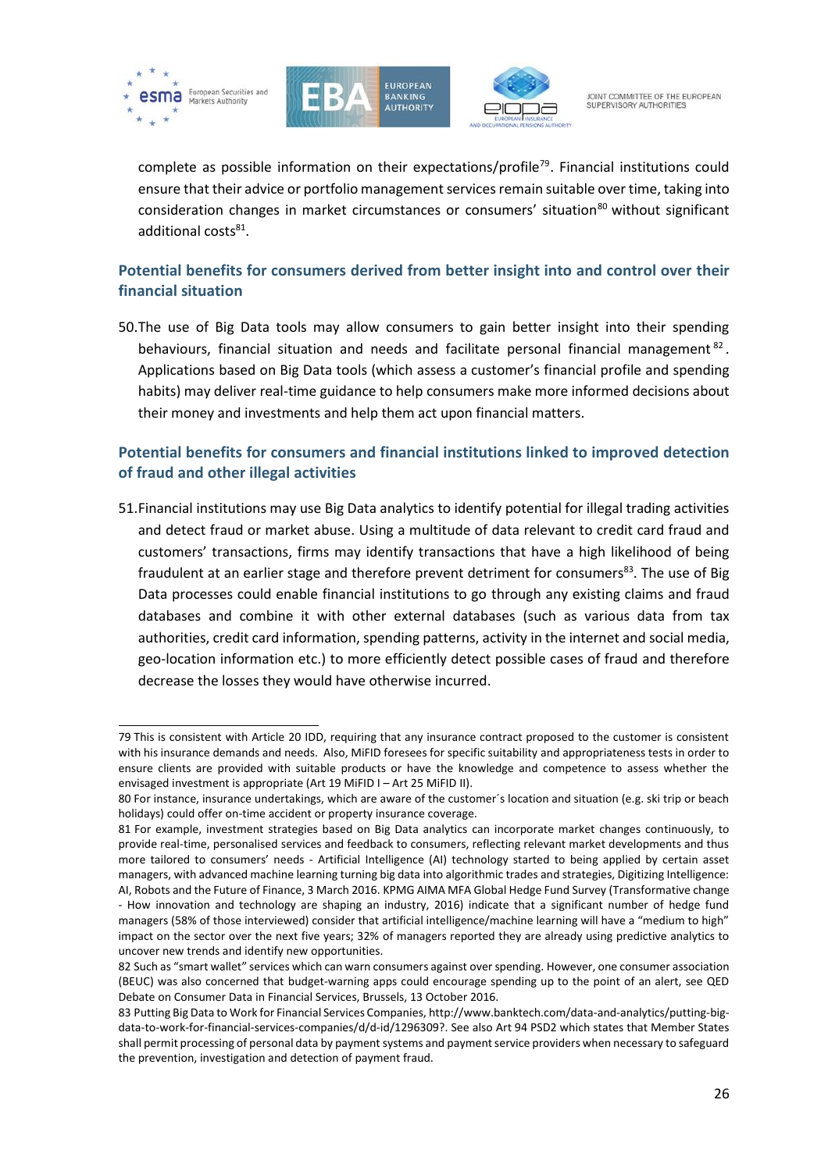





complete as possible information on their expectations/profile<sup>79</sup>. Financial institutions could ensure that their advice or portfolio management services remain suitable over time, taking into consideration changes in market circumstances or consumers' situation $80$  without significant additional costs<sup>81</sup>.

### <span id="page-25-0"></span>**Potential benefits for consumers derived from better insight into and control over their financial situation**

50.The use of Big Data tools may allow consumers to gain better insight into their spending behaviours, financial situation and needs and facilitate personal financial management<sup>82</sup>. Applications based on Big Data tools (which assess a customer's financial profile and spending habits) may deliver real-time guidance to help consumers make more informed decisions about their money and investments and help them act upon financial matters.

### <span id="page-25-1"></span>**Potential benefits for consumers and financial institutions linked to improved detection of fraud and other illegal activities**

51.Financial institutions may use Big Data analytics to identify potential for illegal trading activities and detect fraud or market abuse. Using a multitude of data relevant to credit card fraud and customers' transactions, firms may identify transactions that have a high likelihood of being fraudulent at an earlier stage and therefore prevent detriment for consumers<sup>83</sup>. The use of Big Data processes could enable financial institutions to go through any existing claims and fraud databases and combine it with other external databases (such as various data from tax authorities, credit card information, spending patterns, activity in the internet and social media, geo-location information etc.) to more efficiently detect possible cases of fraud and therefore decrease the losses they would have otherwise incurred.

f 79 This is consistent with Article 20 IDD, requiring that any insurance contract proposed to the customer is consistent with his insurance demands and needs. Also, MiFID foresees for specific suitability and appropriateness tests in order to ensure clients are provided with suitable products or have the knowledge and competence to assess whether the envisaged investment is appropriate (Art 19 MiFID I – Art 25 MiFID II).

<sup>80</sup> For instance, insurance undertakings, which are aware of the customer´s location and situation (e.g. ski trip or beach holidays) could offer on-time accident or property insurance coverage.

<sup>81</sup> For example, investment strategies based on Big Data analytics can incorporate market changes continuously, to provide real-time, personalised services and feedback to consumers, reflecting relevant market developments and thus more tailored to consumers' needs - Artificial Intelligence (AI) technology started to being applied by certain asset managers, with advanced machine learning turning big data into algorithmic trades and strategies, Digitizing Intelligence: AI, Robots and the Future of Finance, 3 March 2016. KPMG AIMA MFA Global Hedge Fund Survey (Transformative change - How innovation and technology are shaping an industry, 2016) indicate that a significant number of hedge fund

managers (58% of those interviewed) consider that artificial intelligence/machine learning will have a "medium to high" impact on the sector over the next five years; 32% of managers reported they are already using predictive analytics to uncover new trends and identify new opportunities.

<sup>82</sup> Such as "smart wallet" services which can warn consumers against over spending. However, one consumer association (BEUC) was also concerned that budget-warning apps could encourage spending up to the point of an alert, see QED Debate on Consumer Data in Financial Services, Brussels, 13 October 2016.

<sup>83</sup> Putting Big Data to Work for Financial Services Companies[, http://www.banktech.com/data-and-analytics/putting-big](http://www.banktech.com/data-and-analytics/putting-big-data-to-work-for-financial-services-companies/d/d-id/1296309)[data-to-work-for-financial-services-companies/d/d-id/1296309?](http://www.banktech.com/data-and-analytics/putting-big-data-to-work-for-financial-services-companies/d/d-id/1296309). See also Art 94 PSD2 which states that Member States shall permit processing of personal data by payment systems and payment service providers when necessary to safeguard the prevention, investigation and detection of payment fraud.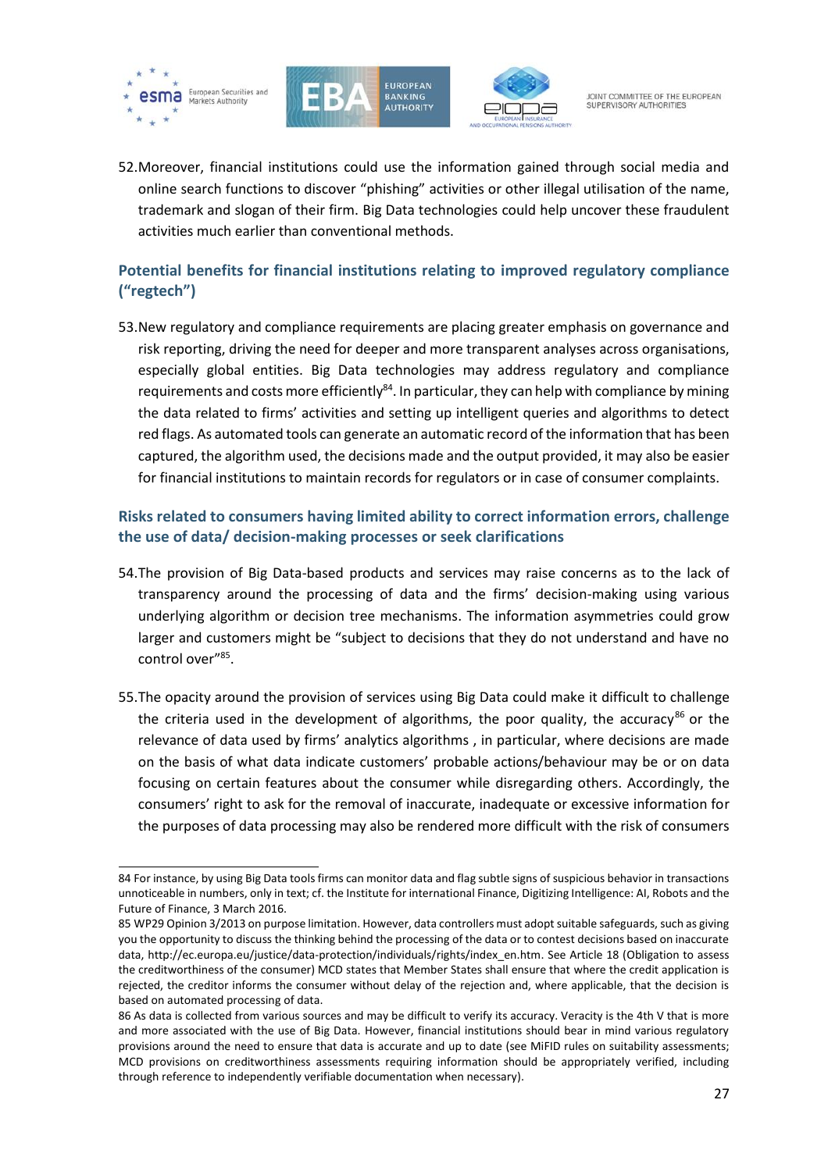





52.Moreover, financial institutions could use the information gained through social media and online search functions to discover "phishing" activities or other illegal utilisation of the name, trademark and slogan of their firm. Big Data technologies could help uncover these fraudulent activities much earlier than conventional methods.

## <span id="page-26-0"></span>**Potential benefits for financial institutions relating to improved regulatory compliance ("regtech")**

53.New regulatory and compliance requirements are placing greater emphasis on governance and risk reporting, driving the need for deeper and more transparent analyses across organisations, especially global entities. Big Data technologies may address regulatory and compliance requirements and costs more efficiently $^{84}$ . In particular, they can help with compliance by mining the data related to firms' activities and setting up intelligent queries and algorithms to detect red flags. As automated tools can generate an automatic record of the information that has been captured, the algorithm used, the decisions made and the output provided, it may also be easier for financial institutions to maintain records for regulators or in case of consumer complaints.

### <span id="page-26-1"></span>**Risks related to consumers having limited ability to correct information errors, challenge the use of data/ decision-making processes or seek clarifications**

- 54.The provision of Big Data-based products and services may raise concerns as to the lack of transparency around the processing of data and the firms' decision-making using various underlying algorithm or decision tree mechanisms. The information asymmetries could grow larger and customers might be "subject to decisions that they do not understand and have no control over"<sup>85</sup> .
- 55.The opacity around the provision of services using Big Data could make it difficult to challenge the criteria used in the development of algorithms, the poor quality, the accuracy $^{86}$  or the relevance of data used by firms' analytics algorithms , in particular, where decisions are made on the basis of what data indicate customers' probable actions/behaviour may be or on data focusing on certain features about the consumer while disregarding others. Accordingly, the consumers' right to ask for the removal of inaccurate, inadequate or excessive information for the purposes of data processing may also be rendered more difficult with the risk of consumers

f 84 For instance, by using Big Data tools firms can monitor data and flag subtle signs of suspicious behavior in transactions unnoticeable in numbers, only in text; cf. the Institute for international Finance, Digitizing Intelligence: AI, Robots and the Future of Finance, 3 March 2016.

<sup>85</sup> WP29 Opinion 3/2013 on purpose limitation. However, data controllers must adopt suitable safeguards, such as giving you the opportunity to discuss the thinking behind the processing of the data or to contest decisions based on inaccurate data, [http://ec.europa.eu/justice/data-protection/individuals/rights/index\\_en.htm.](http://ec.europa.eu/justice/data-protection/individuals/rights/index_en.htm) See Article 18 (Obligation to assess the creditworthiness of the consumer) MCD states that Member States shall ensure that where the credit application is rejected, the creditor informs the consumer without delay of the rejection and, where applicable, that the decision is based on automated processing of data.

<sup>86</sup> As data is collected from various sources and may be difficult to verify its accuracy. Veracity is the 4th V that is more and more associated with the use of Big Data. However, financial institutions should bear in mind various regulatory provisions around the need to ensure that data is accurate and up to date (see MiFID rules on suitability assessments; MCD provisions on creditworthiness assessments requiring information should be appropriately verified, including through reference to independently verifiable documentation when necessary).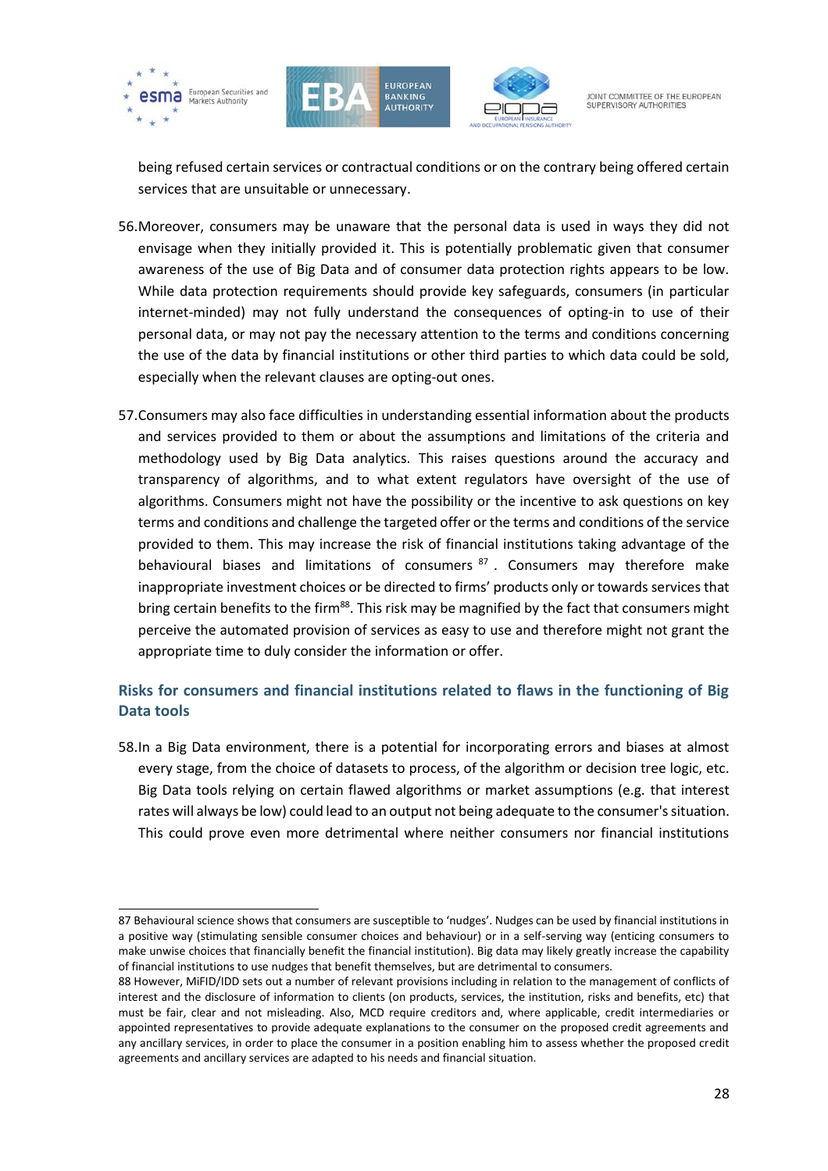





JOINT COMMITTEE OF THE FUROPEAN SUPERVISORY AUTHORITIES

being refused certain services or contractual conditions or on the contrary being offered certain services that are unsuitable or unnecessary.

- 56.Moreover, consumers may be unaware that the personal data is used in ways they did not envisage when they initially provided it. This is potentially problematic given that consumer awareness of the use of Big Data and of consumer data protection rights appears to be low. While data protection requirements should provide key safeguards, consumers (in particular internet-minded) may not fully understand the consequences of opting-in to use of their personal data, or may not pay the necessary attention to the terms and conditions concerning the use of the data by financial institutions or other third parties to which data could be sold, especially when the relevant clauses are opting-out ones.
- 57.Consumers may also face difficulties in understanding essential information about the products and services provided to them or about the assumptions and limitations of the criteria and methodology used by Big Data analytics. This raises questions around the accuracy and transparency of algorithms, and to what extent regulators have oversight of the use of algorithms. Consumers might not have the possibility or the incentive to ask questions on key terms and conditions and challenge the targeted offer or the terms and conditions of the service provided to them. This may increase the risk of financial institutions taking advantage of the behavioural biases and limitations of consumers <sup>87</sup>. Consumers may therefore make inappropriate investment choices or be directed to firms' products only or towards services that bring certain benefits to the firm<sup>88</sup>. This risk may be magnified by the fact that consumers might perceive the automated provision of services as easy to use and therefore might not grant the appropriate time to duly consider the information or offer.

### <span id="page-27-0"></span>**Risks for consumers and financial institutions related to flaws in the functioning of Big Data tools**

58.In a Big Data environment, there is a potential for incorporating errors and biases at almost every stage, from the choice of datasets to process, of the algorithm or decision tree logic, etc. Big Data tools relying on certain flawed algorithms or market assumptions (e.g. that interest rates will always be low) could lead to an output not being adequate to the consumer's situation. This could prove even more detrimental where neither consumers nor financial institutions

<sup>87</sup> Behavioural science shows that consumers are susceptible to 'nudges'. Nudges can be used by financial institutions in a positive way (stimulating sensible consumer choices and behaviour) or in a self-serving way (enticing consumers to make unwise choices that financially benefit the financial institution). Big data may likely greatly increase the capability of financial institutions to use nudges that benefit themselves, but are detrimental to consumers.

<sup>88</sup> However, MiFID/IDD sets out a number of relevant provisions including in relation to the management of conflicts of interest and the disclosure of information to clients (on products, services, the institution, risks and benefits, etc) that must be fair, clear and not misleading. Also, MCD require creditors and, where applicable, credit intermediaries or appointed representatives to provide adequate explanations to the consumer on the proposed credit agreements and any ancillary services, in order to place the consumer in a position enabling him to assess whether the proposed credit agreements and ancillary services are adapted to his needs and financial situation.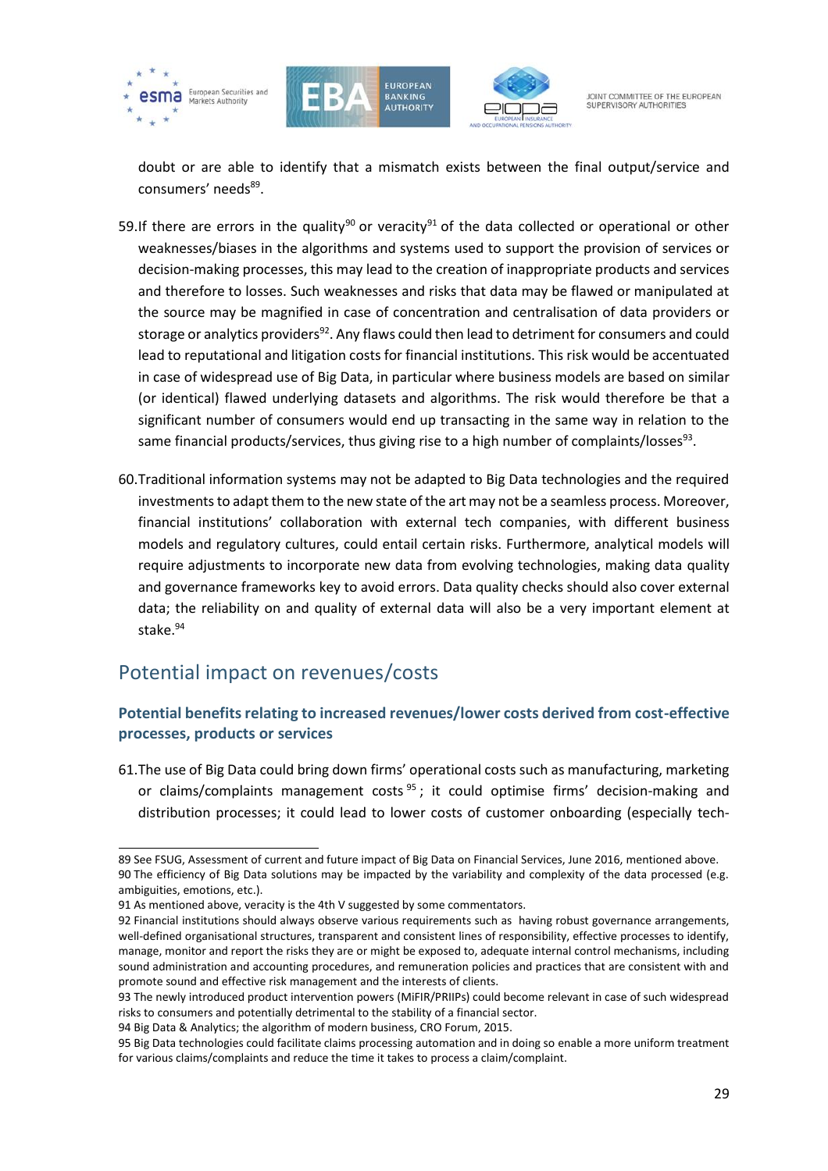





doubt or are able to identify that a mismatch exists between the final output/service and consumers' needs<sup>89</sup>.

- 59.If there are errors in the quality<sup>90</sup> or veracity<sup>91</sup> of the data collected or operational or other weaknesses/biases in the algorithms and systems used to support the provision of services or decision-making processes, this may lead to the creation of inappropriate products and services and therefore to losses. Such weaknesses and risks that data may be flawed or manipulated at the source may be magnified in case of concentration and centralisation of data providers or storage or analytics providers<sup>92</sup>. Any flaws could then lead to detriment for consumers and could lead to reputational and litigation costs for financial institutions. This risk would be accentuated in case of widespread use of Big Data, in particular where business models are based on similar (or identical) flawed underlying datasets and algorithms. The risk would therefore be that a significant number of consumers would end up transacting in the same way in relation to the same financial products/services, thus giving rise to a high number of complaints/losses $^{93}$ .
- 60.Traditional information systems may not be adapted to Big Data technologies and the required investments to adapt them to the new state of the art may not be a seamless process. Moreover, financial institutions' collaboration with external tech companies, with different business models and regulatory cultures, could entail certain risks. Furthermore, analytical models will require adjustments to incorporate new data from evolving technologies, making data quality and governance frameworks key to avoid errors. Data quality checks should also cover external data; the reliability on and quality of external data will also be a very important element at stake. 94

## <span id="page-28-0"></span>Potential impact on revenues/costs

### <span id="page-28-1"></span>**Potential benefits relating to increased revenues/lower costs derived from cost-effective processes, products or services**

61.The use of Big Data could bring down firms' operational costs such as manufacturing, marketing or claims/complaints management costs<sup>95</sup>; it could optimise firms' decision-making and distribution processes; it could lead to lower costs of customer onboarding (especially tech-

<sup>1</sup> 89 See FSUG, Assessment of current and future impact of Big Data on Financial Services, June 2016, mentioned above. 90 The efficiency of Big Data solutions may be impacted by the variability and complexity of the data processed (e.g. ambiguities, emotions, etc.).

<sup>91</sup> As mentioned above, veracity is the 4th V suggested by some commentators.

<sup>92</sup> Financial institutions should always observe various requirements such as having robust governance arrangements, well-defined organisational structures, transparent and consistent lines of responsibility, effective processes to identify, manage, monitor and report the risks they are or might be exposed to, adequate internal control mechanisms, including sound administration and accounting procedures, and remuneration policies and practices that are consistent with and promote sound and effective risk management and the interests of clients.

<sup>93</sup> The newly introduced product intervention powers (MiFIR/PRIIPs) could become relevant in case of such widespread risks to consumers and potentially detrimental to the stability of a financial sector.

<sup>94</sup> Big Data & Analytics; the algorithm of modern business, CRO Forum, 2015.

<sup>95</sup> Big Data technologies could facilitate claims processing automation and in doing so enable a more uniform treatment for various claims/complaints and reduce the time it takes to process a claim/complaint.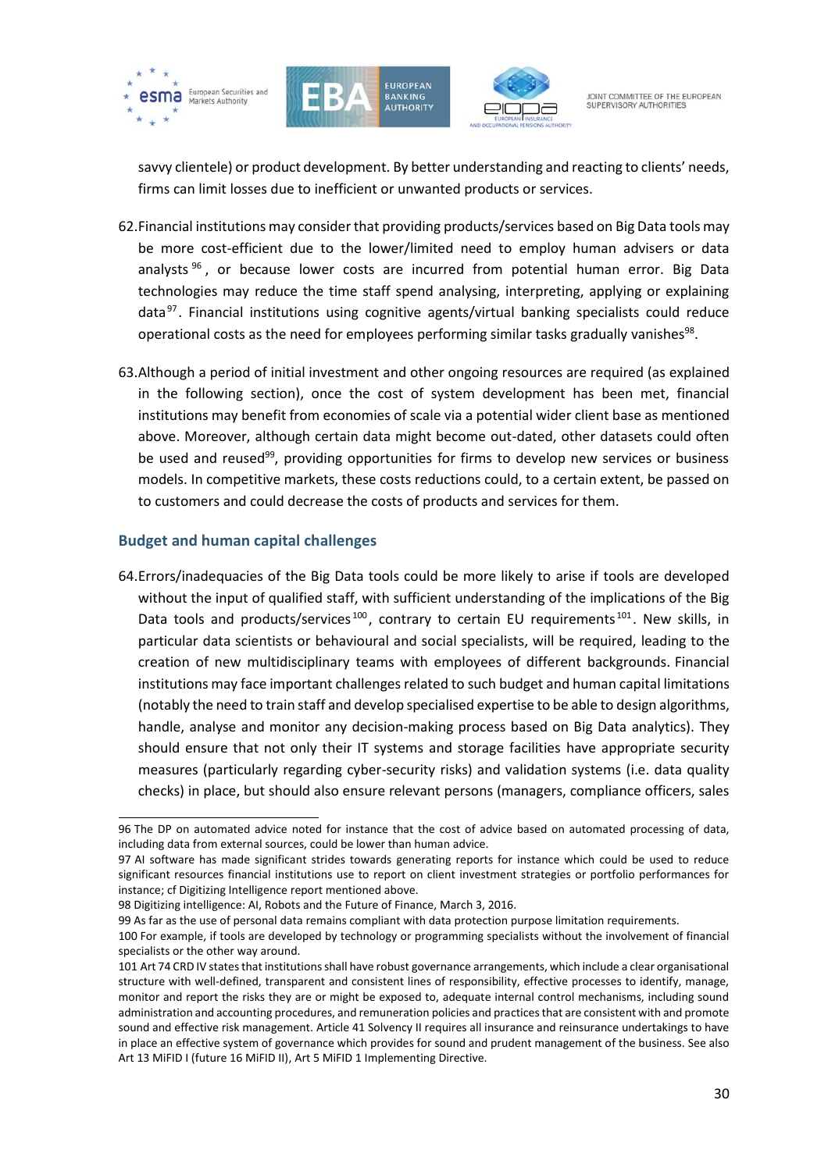





savvy clientele) or product development. By better understanding and reacting to clients' needs, firms can limit losses due to inefficient or unwanted products or services.

- 62.Financial institutions may consider that providing products/services based on Big Data tools may be more cost-efficient due to the lower/limited need to employ human advisers or data analysts <sup>96</sup> , or because lower costs are incurred from potential human error. Big Data technologies may reduce the time staff spend analysing, interpreting, applying or explaining data<sup>97</sup>. Financial institutions using cognitive agents/virtual banking specialists could reduce operational costs as the need for employees performing similar tasks gradually vanishes $^{98}$ .
- 63.Although a period of initial investment and other ongoing resources are required (as explained in the following section), once the cost of system development has been met, financial institutions may benefit from economies of scale via a potential wider client base as mentioned above. Moreover, although certain data might become out-dated, other datasets could often be used and reused<sup>99</sup>, providing opportunities for firms to develop new services or business models. In competitive markets, these costs reductions could, to a certain extent, be passed on to customers and could decrease the costs of products and services for them.

#### <span id="page-29-0"></span>**Budget and human capital challenges**

64.Errors/inadequacies of the Big Data tools could be more likely to arise if tools are developed without the input of qualified staff, with sufficient understanding of the implications of the Big Data tools and products/services<sup>100</sup>, contrary to certain EU requirements<sup>101</sup>. New skills, in particular data scientists or behavioural and social specialists, will be required, leading to the creation of new multidisciplinary teams with employees of different backgrounds. Financial institutions may face important challenges related to such budget and human capital limitations (notably the need to train staff and develop specialised expertise to be able to design algorithms, handle, analyse and monitor any decision-making process based on Big Data analytics). They should ensure that not only their IT systems and storage facilities have appropriate security measures (particularly regarding cyber-security risks) and validation systems (i.e. data quality checks) in place, but should also ensure relevant persons (managers, compliance officers, sales

<sup>1</sup> 96 The DP on automated advice noted for instance that the cost of advice based on automated processing of data, including data from external sources, could be lower than human advice.

<sup>97</sup> AI software has made significant strides towards generating reports for instance which could be used to reduce significant resources financial institutions use to report on client investment strategies or portfolio performances for instance; cf Digitizing Intelligence report mentioned above.

<sup>98</sup> Digitizing intelligence: AI, Robots and the Future of Finance, March 3, 2016.

<sup>99</sup> As far as the use of personal data remains compliant with data protection purpose limitation requirements.

<sup>100</sup> For example, if tools are developed by technology or programming specialists without the involvement of financial specialists or the other way around.

<sup>101</sup> Art 74 CRD IV states that institutions shall have robust governance arrangements, which include a clear organisational structure with well-defined, transparent and consistent lines of responsibility, effective processes to identify, manage, monitor and report the risks they are or might be exposed to, adequate internal control mechanisms, including sound administration and accounting procedures, and remuneration policies and practices that are consistent with and promote sound and effective risk management. Article 41 Solvency II requires all insurance and reinsurance undertakings to have in place an effective system of governance which provides for sound and prudent management of the business. See also Art 13 MiFID I (future 16 MiFID II), Art 5 MiFID 1 Implementing Directive.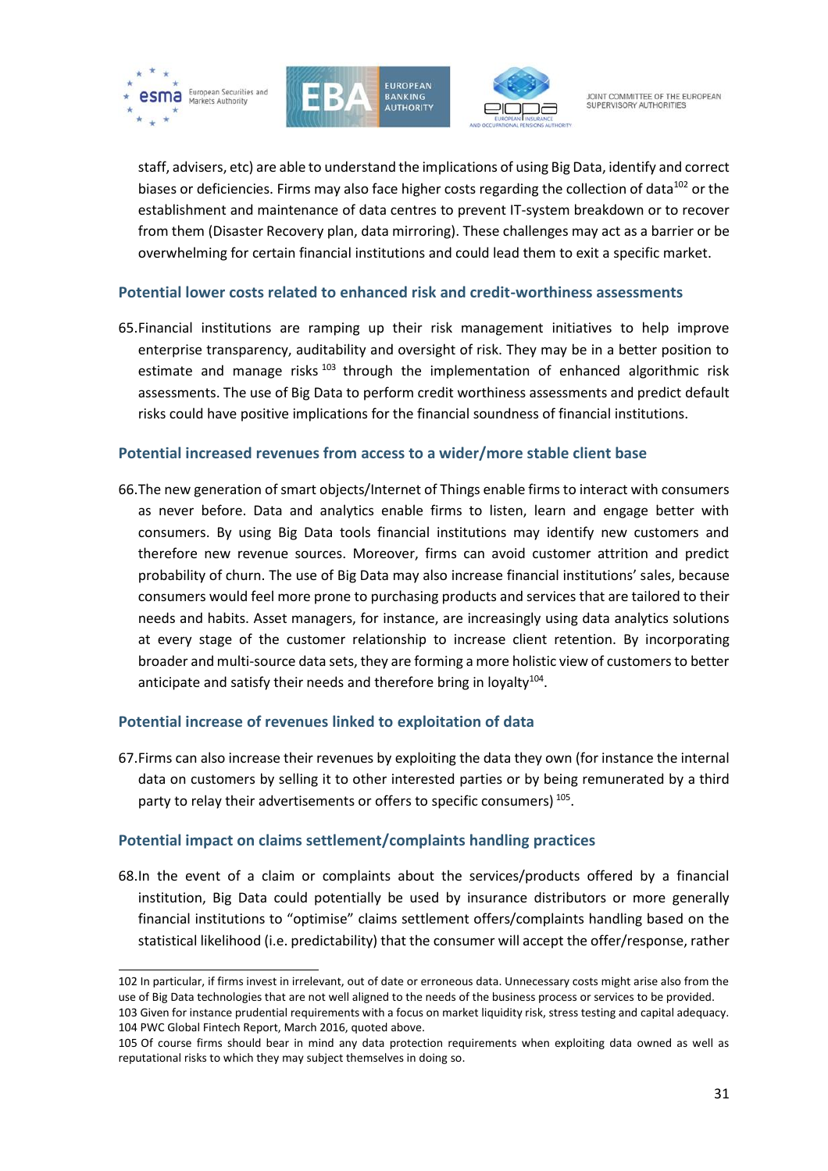





staff, advisers, etc) are able to understand the implications of using Big Data, identify and correct biases or deficiencies. Firms may also face higher costs regarding the collection of data<sup>102</sup> or the establishment and maintenance of data centres to prevent IT-system breakdown or to recover from them (Disaster Recovery plan, data mirroring). These challenges may act as a barrier or be overwhelming for certain financial institutions and could lead them to exit a specific market.

#### <span id="page-30-0"></span>**Potential lower costs related to enhanced risk and credit-worthiness assessments**

65.Financial institutions are ramping up their risk management initiatives to help improve enterprise transparency, auditability and oversight of risk. They may be in a better position to estimate and manage risks  $103$  through the implementation of enhanced algorithmic risk assessments. The use of Big Data to perform credit worthiness assessments and predict default risks could have positive implications for the financial soundness of financial institutions.

#### <span id="page-30-1"></span>**Potential increased revenues from access to a wider/more stable client base**

66.The new generation of smart objects/Internet of Things enable firms to interact with consumers as never before. Data and analytics enable firms to listen, learn and engage better with consumers. By using Big Data tools financial institutions may identify new customers and therefore new revenue sources. Moreover, firms can avoid customer attrition and predict probability of churn. The use of Big Data may also increase financial institutions' sales, because consumers would feel more prone to purchasing products and services that are tailored to their needs and habits. Asset managers, for instance, are increasingly using data analytics solutions at every stage of the customer relationship to increase client retention. By incorporating broader and multi-source data sets, they are forming a more holistic view of customers to better anticipate and satisfy their needs and therefore bring in loyalty $^{104}$ .

### <span id="page-30-2"></span>**Potential increase of revenues linked to exploitation of data**

67.Firms can also increase their revenues by exploiting the data they own (for instance the internal data on customers by selling it to other interested parties or by being remunerated by a third party to relay their advertisements or offers to specific consumers)<sup>105</sup>.

### <span id="page-30-3"></span>**Potential impact on claims settlement/complaints handling practices**

68.In the event of a claim or complaints about the services/products offered by a financial institution, Big Data could potentially be used by insurance distributors or more generally financial institutions to "optimise" claims settlement offers/complaints handling based on the statistical likelihood (i.e. predictability) that the consumer will accept the offer/response, rather

<sup>102</sup> In particular, if firms invest in irrelevant, out of date or erroneous data. Unnecessary costs might arise also from the use of Big Data technologies that are not well aligned to the needs of the business process or services to be provided. 103 Given for instance prudential requirements with a focus on market liquidity risk, stress testing and capital adequacy. 104 PWC Global Fintech Report, March 2016, quoted above.

<sup>105</sup> Of course firms should bear in mind any data protection requirements when exploiting data owned as well as reputational risks to which they may subject themselves in doing so.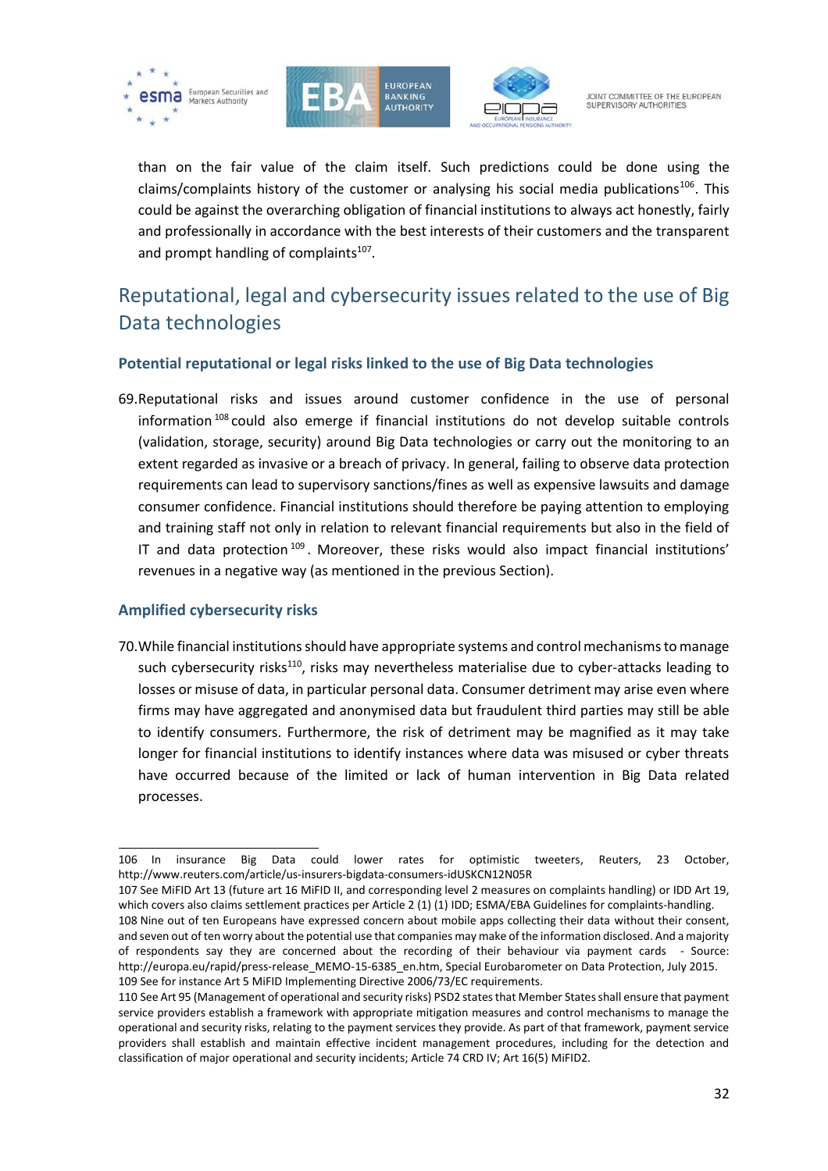





than on the fair value of the claim itself. Such predictions could be done using the claims/complaints history of the customer or analysing his social media publications<sup>106</sup>. This could be against the overarching obligation of financial institutions to always act honestly, fairly and professionally in accordance with the best interests of their customers and the transparent and prompt handling of complaints<sup>107</sup>.

## <span id="page-31-0"></span>Reputational, legal and cybersecurity issues related to the use of Big Data technologies

### <span id="page-31-1"></span>**Potential reputational or legal risks linked to the use of Big Data technologies**

69.Reputational risks and issues around customer confidence in the use of personal information  $108$  could also emerge if financial institutions do not develop suitable controls (validation, storage, security) around Big Data technologies or carry out the monitoring to an extent regarded as invasive or a breach of privacy. In general, failing to observe data protection requirements can lead to supervisory sanctions/fines as well as expensive lawsuits and damage consumer confidence. Financial institutions should therefore be paying attention to employing and training staff not only in relation to relevant financial requirements but also in the field of IT and data protection<sup>109</sup>. Moreover, these risks would also impact financial institutions' revenues in a negative way (as mentioned in the previous Section).

#### <span id="page-31-2"></span>**Amplified cybersecurity risks**

70.While financial institutions should have appropriate systems and control mechanisms to manage such cybersecurity risks<sup>110</sup>, risks may nevertheless materialise due to cyber-attacks leading to losses or misuse of data, in particular personal data. Consumer detriment may arise even where firms may have aggregated and anonymised data but fraudulent third parties may still be able to identify consumers. Furthermore, the risk of detriment may be magnified as it may take longer for financial institutions to identify instances where data was misused or cyber threats have occurred because of the limited or lack of human intervention in Big Data related processes.

107 See MiFID Art 13 (future art 16 MiFID II, and corresponding level 2 measures on complaints handling) or IDD Art 19, which covers also claims settlement practices per Article 2 (1) (1) IDD; ESMA/EBA Guidelines for complaints-handling. 108 Nine out of ten Europeans have expressed concern about mobile apps collecting their data without their consent,

<sup>1</sup> 106 In insurance Big Data could lower rates for optimistic tweeters, Reuters, 23 October, <http://www.reuters.com/article/us-insurers-bigdata-consumers-idUSKCN12N05R>

and seven out of ten worry about the potential use that companies may make of the information disclosed. And a majority of respondents say they are concerned about the recording of their behaviour via payment cards - Source: [http://europa.eu/rapid/press-release\\_MEMO-15-6385\\_en.htm,](http://europa.eu/rapid/press-release_MEMO-15-6385_en.htm) [Special Eurobarometer on Data Protection, July 2015.](http://ec.europa.eu/public_opinion/archives/eb_special_439_420_en.htm#431) 109 See for instance Art 5 MiFID Implementing Directive 2006/73/EC requirements.

<sup>110</sup> See Art 95 (Management of operational and security risks) PSD2 states that Member States shall ensure that payment service providers establish a framework with appropriate mitigation measures and control mechanisms to manage the operational and security risks, relating to the payment services they provide. As part of that framework, payment service providers shall establish and maintain effective incident management procedures, including for the detection and classification of major operational and security incidents; Article 74 CRD IV; Art 16(5) MiFID2.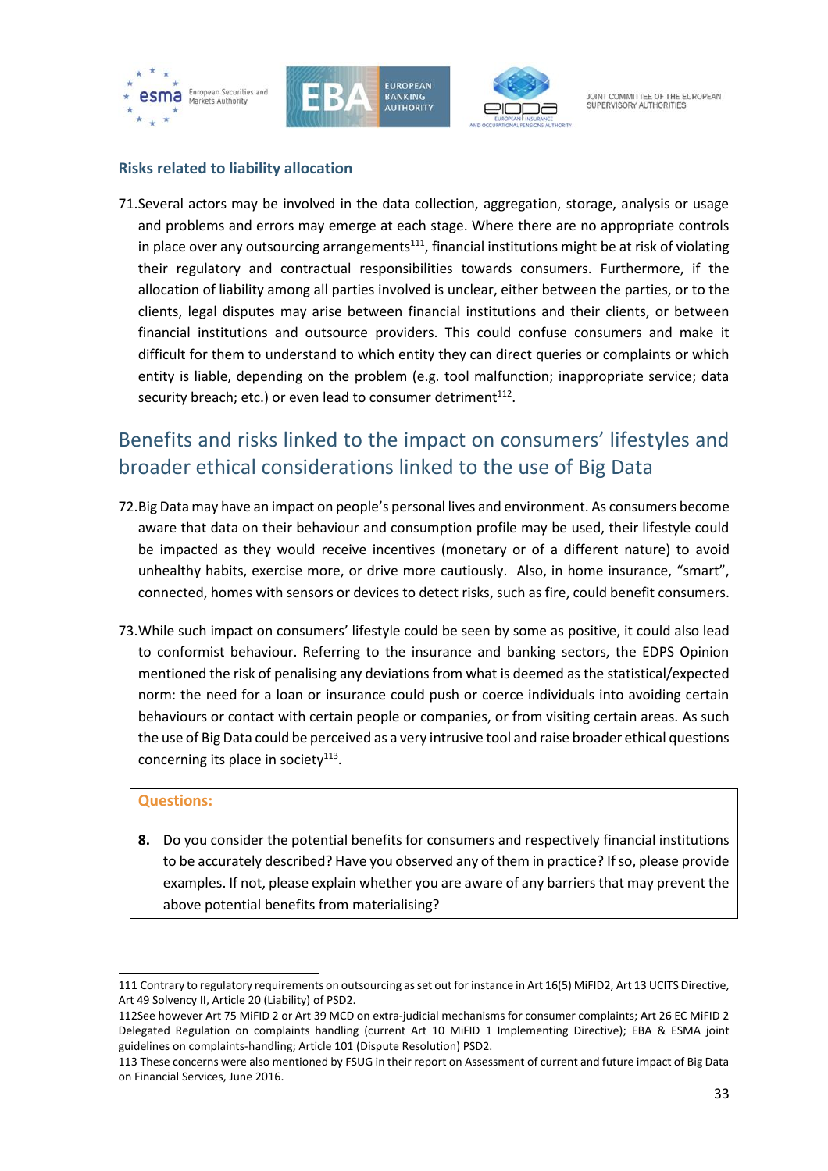





### <span id="page-32-0"></span>**Risks related to liability allocation**

71.Several actors may be involved in the data collection, aggregation, storage, analysis or usage and problems and errors may emerge at each stage. Where there are no appropriate controls in place over any outsourcing arrangements $111$ , financial institutions might be at risk of violating their regulatory and contractual responsibilities towards consumers. Furthermore, if the allocation of liability among all parties involved is unclear, either between the parties, or to the clients, legal disputes may arise between financial institutions and their clients, or between financial institutions and outsource providers. This could confuse consumers and make it difficult for them to understand to which entity they can direct queries or complaints or which entity is liable, depending on the problem (e.g. tool malfunction; inappropriate service; data security breach; etc.) or even lead to consumer detriment $^{112}$ .

## <span id="page-32-1"></span>Benefits and risks linked to the impact on consumers' lifestyles and broader ethical considerations linked to the use of Big Data

- 72.Big Data may have an impact on people's personal lives and environment. As consumers become aware that data on their behaviour and consumption profile may be used, their lifestyle could be impacted as they would receive incentives (monetary or of a different nature) to avoid unhealthy habits, exercise more, or drive more cautiously. Also, in home insurance, "smart", connected, homes with sensors or devices to detect risks, such as fire, could benefit consumers.
- 73.While such impact on consumers' lifestyle could be seen by some as positive, it could also lead to conformist behaviour. Referring to the insurance and banking sectors, the EDPS Opinion mentioned the risk of penalising any deviations from what is deemed as the statistical/expected norm: the need for a loan or insurance could push or coerce individuals into avoiding certain behaviours or contact with certain people or companies, or from visiting certain areas. As such the use of Big Data could be perceived as a very intrusive tool and raise broader ethical questions concerning its place in society $113$ .

#### **Questions:**

1

**8.** Do you consider the potential benefits for consumers and respectively financial institutions to be accurately described? Have you observed any of them in practice? If so, please provide examples. If not, please explain whether you are aware of any barriers that may prevent the above potential benefits from materialising?

<sup>111</sup> Contrary to regulatory requirements on outsourcing as set out for instance in Art 16(5) MiFID2, Art 13 UCITS Directive, Art 49 Solvency II, Article 20 (Liability) of PSD2.

<sup>112</sup>See however Art 75 MiFID 2 or Art 39 MCD on extra-judicial mechanisms for consumer complaints; Art 26 EC MiFID 2 Delegated Regulation on complaints handling (current Art 10 MiFID 1 Implementing Directive); EBA & ESMA joint guidelines on complaints-handling; Article 101 (Dispute Resolution) PSD2.

<sup>113</sup> These concerns were also mentioned by FSUG in their report on Assessment of current and future impact of Big Data on Financial Services, June 2016.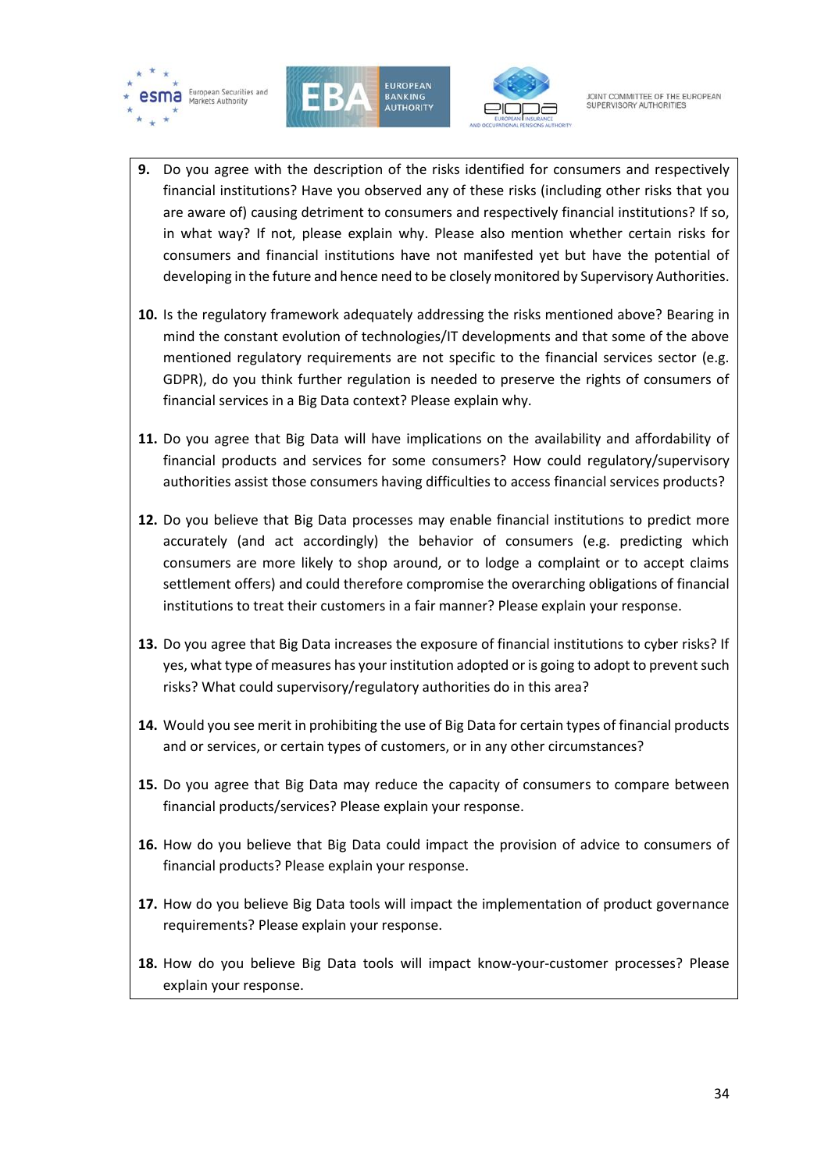





- **9.** Do you agree with the description of the risks identified for consumers and respectively financial institutions? Have you observed any of these risks (including other risks that you are aware of) causing detriment to consumers and respectively financial institutions? If so, in what way? If not, please explain why. Please also mention whether certain risks for consumers and financial institutions have not manifested yet but have the potential of developing in the future and hence need to be closely monitored by Supervisory Authorities.
- **10.** Is the regulatory framework adequately addressing the risks mentioned above? Bearing in mind the constant evolution of technologies/IT developments and that some of the above mentioned regulatory requirements are not specific to the financial services sector (e.g. GDPR), do you think further regulation is needed to preserve the rights of consumers of financial services in a Big Data context? Please explain why.
- **11.** Do you agree that Big Data will have implications on the availability and affordability of financial products and services for some consumers? How could regulatory/supervisory authorities assist those consumers having difficulties to access financial services products?
- **12.** Do you believe that Big Data processes may enable financial institutions to predict more accurately (and act accordingly) the behavior of consumers (e.g. predicting which consumers are more likely to shop around, or to lodge a complaint or to accept claims settlement offers) and could therefore compromise the overarching obligations of financial institutions to treat their customers in a fair manner? Please explain your response.
- **13.** Do you agree that Big Data increases the exposure of financial institutions to cyber risks? If yes, what type of measures has your institution adopted or is going to adopt to prevent such risks? What could supervisory/regulatory authorities do in this area?
- **14.** Would you see merit in prohibiting the use of Big Data for certain types of financial products and or services, or certain types of customers, or in any other circumstances?
- **15.** Do you agree that Big Data may reduce the capacity of consumers to compare between financial products/services? Please explain your response.
- **16.** How do you believe that Big Data could impact the provision of advice to consumers of financial products? Please explain your response.
- **17.** How do you believe Big Data tools will impact the implementation of product governance requirements? Please explain your response.
- **18.** How do you believe Big Data tools will impact know-your-customer processes? Please explain your response.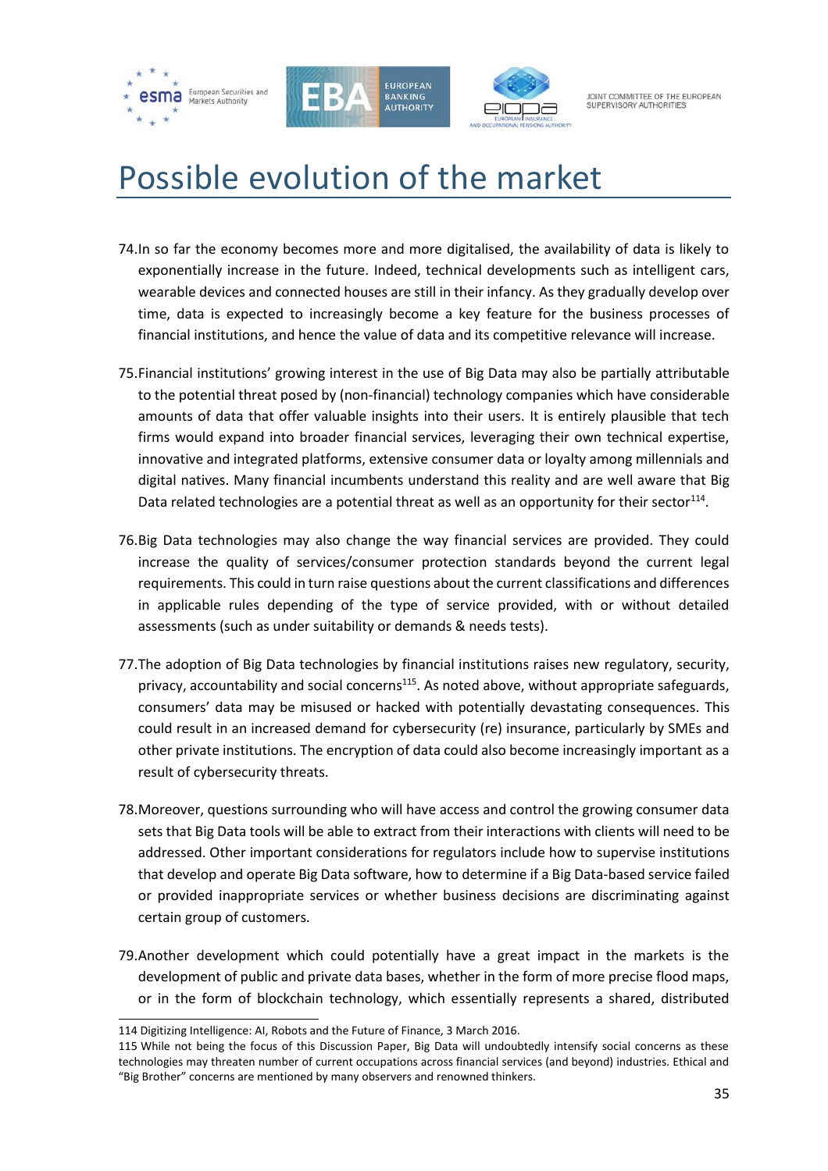





# <span id="page-34-0"></span>Possible evolution of the market

- 74.In so far the economy becomes more and more digitalised, the availability of data is likely to exponentially increase in the future. Indeed, technical developments such as intelligent cars, wearable devices and connected houses are still in their infancy. As they gradually develop over time, data is expected to increasingly become a key feature for the business processes of financial institutions, and hence the value of data and its competitive relevance will increase.
- 75.Financial institutions' growing interest in the use of Big Data may also be partially attributable to the potential threat posed by (non-financial) technology companies which have considerable amounts of data that offer valuable insights into their users. It is entirely plausible that tech firms would expand into broader financial services, leveraging their own technical expertise, innovative and integrated platforms, extensive consumer data or loyalty among millennials and digital natives. Many financial incumbents understand this reality and are well aware that Big Data related technologies are a potential threat as well as an opportunity for their sector $^{114}$ .
- 76.Big Data technologies may also change the way financial services are provided. They could increase the quality of services/consumer protection standards beyond the current legal requirements. This could in turn raise questions about the current classifications and differences in applicable rules depending of the type of service provided, with or without detailed assessments (such as under suitability or demands & needs tests).
- 77.The adoption of Big Data technologies by financial institutions raises new regulatory, security, privacy, accountability and social concerns<sup>115</sup>. As noted above, without appropriate safeguards, consumers' data may be misused or hacked with potentially devastating consequences. This could result in an increased demand for cybersecurity (re) insurance, particularly by SMEs and other private institutions. The encryption of data could also become increasingly important as a result of cybersecurity threats.
- 78.Moreover, questions surrounding who will have access and control the growing consumer data sets that Big Data tools will be able to extract from their interactions with clients will need to be addressed. Other important considerations for regulators include how to supervise institutions that develop and operate Big Data software, how to determine if a Big Data-based service failed or provided inappropriate services or whether business decisions are discriminating against certain group of customers.
- 79.Another development which could potentially have a great impact in the markets is the development of public and private data bases, whether in the form of more precise flood maps, or in the form of blockchain technology, which essentially represents a shared, distributed

1

<sup>114</sup> Digitizing Intelligence: AI, Robots and the Future of Finance, 3 March 2016.

<sup>115</sup> While not being the focus of this Discussion Paper, Big Data will undoubtedly intensify social concerns as these technologies may threaten number of current occupations across financial services (and beyond) industries. Ethical and "Big Brother" concerns are mentioned by many observers and renowned thinkers.